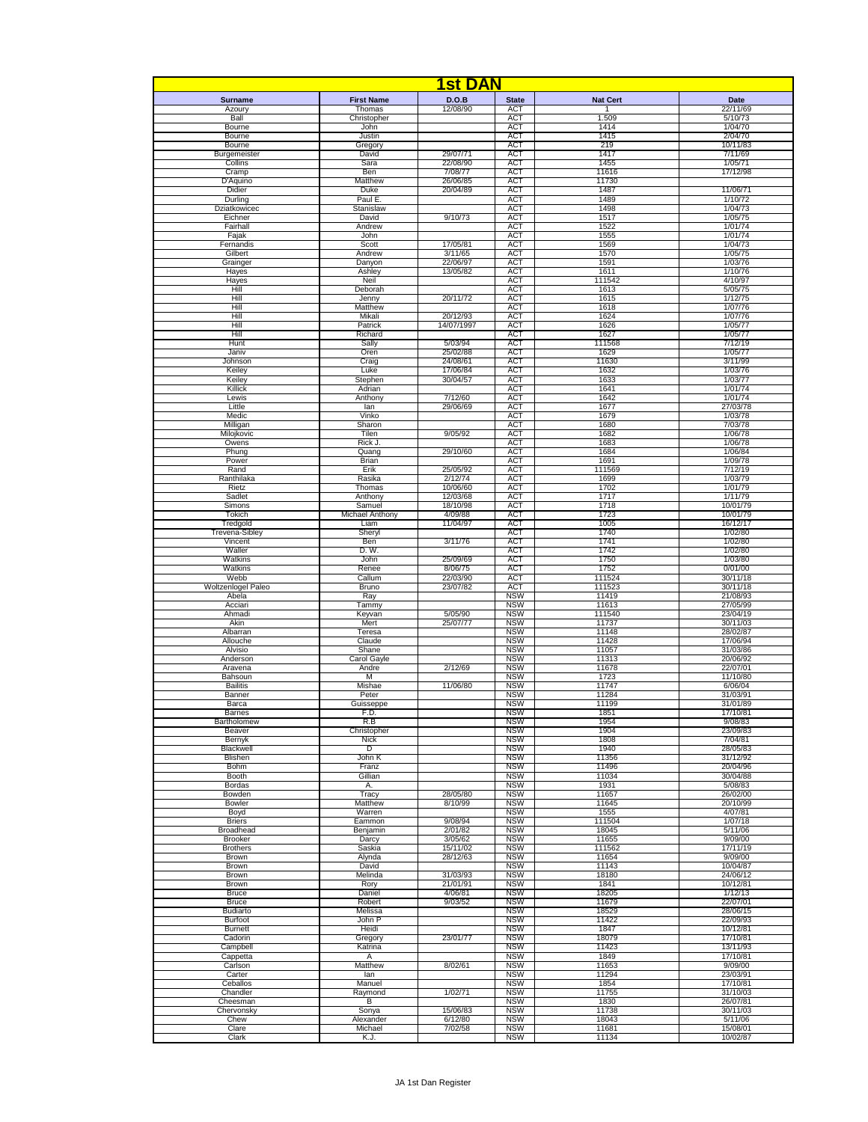| <b>1st DAN</b>                    |                                  |                      |                                    |                 |                      |  |  |
|-----------------------------------|----------------------------------|----------------------|------------------------------------|-----------------|----------------------|--|--|
| <b>Surname</b>                    | <b>First Name</b>                | D.O.B                | <b>State</b>                       | <b>Nat Cert</b> | Date                 |  |  |
| Azoury<br>Ball                    | Thomas<br>Christopher            | 12/08/90             | <b>ACT</b><br><b>ACT</b>           | 1<br>1.509      | 22/11/69<br>5/10/73  |  |  |
| Bourne<br>Bourne                  | John<br>Justin                   |                      | <b>ACT</b><br><b>ACT</b>           | 1414<br>1415    | 1/04/70<br>2/04/70   |  |  |
| Bourne                            | Gregory                          |                      | AC <sub>1</sub>                    | 219             | 10/11/83             |  |  |
| Burgemeister<br>Collins           | David<br>Sara                    | 29/07/71<br>22/08/90 | AC <sub>1</sub><br>AC <sub>1</sub> | 1417<br>1455    | 7/11/69<br>1/05/71   |  |  |
| Cramp                             | Ben                              | 7/08/77              | AC <sub>1</sub>                    | 11616           | 17/12/98             |  |  |
| D'Aquino<br>Didier                | Matthew<br>Duke                  | 26/06/85<br>20/04/89 | AC <sub>1</sub><br>AC <sub>1</sub> | 11730<br>1487   |                      |  |  |
| Durling                           | Paul E.                          |                      | ACT                                | 1489            | 11/06/71<br>1/10/72  |  |  |
| Dziatkowicec                      | Stanislaw                        |                      | ACT                                | 1498            | 1/04/73              |  |  |
| Eichner<br>Fairhall               | David<br>Andrew                  | 9/10/73              | AC <sup>-</sup><br>AC <sub>1</sub> | 1517<br>1522    | 1/05/75<br>1/01/74   |  |  |
| Fajak                             | John                             |                      | AC <sub>1</sub>                    | 1555            | 1/01/74              |  |  |
| Fernandis<br>Gilbert              | Scott<br>Andrew                  | 17/05/81<br>3/11/65  | AC <sub>1</sub><br>AC <sub>1</sub> | 1569<br>1570    | 1/04/73<br>1/05/75   |  |  |
| Grainger                          | Danyon                           | 22/06/97             | AC <sub>1</sub>                    | 1591            | 1/03/76              |  |  |
| Hayes<br>Hayes                    | Ashley<br>Neil                   | 13/05/82             | <b>ACT</b><br><b>ACT</b>           | 1611<br>111542  | 1/10/76<br>4/10/97   |  |  |
| Hill                              | Deborah                          |                      | <b>ACT</b>                         | 1613            | 5/05/75              |  |  |
| Hill<br>Hill                      | Jenny<br>Matthew                 | 20/11/72             | <b>ACT</b><br>AC <sub>1</sub>      | 1615<br>1618    | 1/12/75<br>1/07/76   |  |  |
| Hill                              | Mikali                           | 20/12/93             | ACT                                | 1624            | 1/07/76              |  |  |
| Hill<br>Hill                      | Patrick<br>Richard               | 14/07/1997           | <b>ACT</b><br><b>ACT</b>           | 1626<br>1627    | 1/05/77<br>1/05/77   |  |  |
| Hunt                              | Sally                            | 5/03/94              | <b>ACT</b>                         | 111568          | 7/12/19              |  |  |
| Janiv<br>Johnson                  | Oren<br>Craig                    | 25/02/88<br>24/08/61 | <b>ACT</b><br><b>ACT</b>           | 1629<br>11630   | 1/05/77<br>3/11/99   |  |  |
| Keiley                            | Luke                             | 17/06/84             | <b>ACT</b>                         | 1632            | 1/03/76              |  |  |
| Keiley<br>Killick                 | Stephen<br>Adrian                | 30/04/57             | AC <sub>1</sub><br>ACT             | 1633<br>1641    | 1/03/77<br>1/01/74   |  |  |
| Lewis                             | Anthony                          | 7/12/60              | AC <sub>1</sub>                    | 1642            | 1/01/74              |  |  |
| Little                            | lan                              | 29/06/69             | AC <sub>1</sub>                    | 1677            | 27/03/78             |  |  |
| Medic<br>Milligan                 | Vinko<br>Sharon                  |                      | ACT<br><b>ACT</b>                  | 1679<br>1680    | 1/03/78<br>7/03/78   |  |  |
| Milojkovic                        | Tilen                            | 9/05/92              | AC <sub>1</sub>                    | 1682            | 1/06/78              |  |  |
| Owens<br>Phung                    | Rick J.<br>Quang                 | 29/10/60             | AC <sub>1</sub><br>AC <sub>1</sub> | 1683<br>1684    | 1/06/78<br>1/06/84   |  |  |
| Power                             | <b>Brian</b>                     |                      | ACT                                | 1691            | 1/09/78              |  |  |
| Rand<br>Ranthilaka                | Erik<br>Rasika                   | 25/05/92<br>2/12/74  | AC <sub>1</sub><br>AC <sub>1</sub> | 111569<br>1699  | 7/12/19<br>1/03/79   |  |  |
| Rietz                             | Thomas                           | 10/06/60             | ACT                                | 1702            | 1/01/79              |  |  |
| Sadlet                            | Anthony                          | 12/03/68             | ACT                                | 1717            | 1/11/79              |  |  |
| Simons<br>Tokich                  | Samuel<br><b>Michael Anthony</b> | 18/10/98<br>4/09/88  | ACT<br>AC <sub>1</sub>             | 1718<br>1723    | 10/01/79<br>10/01/79 |  |  |
| Tredgold                          | Liam                             | 11/04/97             | AC <sub>1</sub>                    | 1005            | 16/12/17             |  |  |
| Trevena-Sibley<br>Vincent         | Sheryl<br>Ben                    | 3/11/76              | AC <sub>1</sub><br><b>ACT</b>      | 1740<br>1741    | 1/02/80<br>1/02/80   |  |  |
| Waller                            | D. W.                            |                      | <b>ACT</b>                         | 1742            | 1/02/80              |  |  |
| Watkins<br>Watkins                | John<br>Renee                    | 25/09/69<br>8/06/75  | <b>ACT</b><br><b>ACT</b>           | 1750<br>1752    | 1/03/80<br>0/01/00   |  |  |
| Webb                              | Callum                           | 22/03/90             | <b>ACT</b>                         | 111524          | 30/11/18             |  |  |
| Woltzenlogel Paleo<br>Abela       | <b>Bruno</b><br>Ray              | 23/07/82             | <b>ACT</b><br><b>NSW</b>           | 111523<br>11419 | 30/11/18<br>21/08/93 |  |  |
| Acciari                           | Tammy                            |                      | <b>NSW</b>                         | 11613           | 27/05/99             |  |  |
| Ahmadi                            | Keyvan                           | 5/05/90              | <b>NSW</b>                         | 111540          | 23/04/19             |  |  |
| Akin<br>Albarran                  | Mert<br>Teresa                   | 25/07/77             | <b>NSW</b><br><b>NSW</b>           | 11737<br>11148  | 30/11/03<br>28/02/87 |  |  |
| Allouche                          | Claude                           |                      | <b>NSW</b>                         | 11428           | 17/06/94             |  |  |
| Alvisio<br>Anderson               | Shane<br>Carol Gayle             |                      | <b>NSW</b><br><b>NSW</b>           | 11057<br>11313  | 31/03/86<br>20/06/92 |  |  |
| Aravena                           | Andre                            | 2/12/69              | <b>NSW</b>                         | 11678           | 22/07/01             |  |  |
| Bahsoun<br><b>Bailitis</b>        | М<br>Mishae                      | 11/06/80             | <b>NSW</b><br><b>NSW</b>           | 1723<br>11747   | 11/10/80<br>6/06/04  |  |  |
| Banner                            | Peter                            |                      | <b>NSW</b>                         | 11284           | 31/03/91             |  |  |
| Barca<br><b>Barnes</b>            | Guisseppe<br>F.D.                |                      | <b>NSW</b><br><b>NSW</b>           | 11199<br>1851   | 31/01/89<br>17/10/81 |  |  |
| Bartholomew                       | R.B                              |                      | <b>NSW</b>                         | 1954            | 9/08/83              |  |  |
| Beaver<br>Bernyk                  | Christopher                      |                      | <b>NSW</b><br><b>NSW</b>           | 1904<br>1808    | 23/09/83<br>7/04/81  |  |  |
| Blackwell                         | Nick<br>D                        |                      | <b>NSW</b>                         | 1940            | 28/05/83             |  |  |
| <b>Blishen</b>                    | John K                           |                      | <b>NSW</b>                         | 11356           | 31/12/92             |  |  |
| Bohm<br><b>Booth</b>              | Franz<br>Gillian                 |                      | <b>NSW</b><br><b>NSW</b>           | 11496<br>11034  | 20/04/96<br>30/04/88 |  |  |
| Bordas                            | Α.                               |                      | <b>NSW</b>                         | 1931            | 5/08/83              |  |  |
| Bowden<br>Bowler                  | Tracy<br>Matthew                 | 28/05/80<br>8/10/99  | <b>NSW</b><br><b>NSW</b>           | 11657<br>11645  | 26/02/00<br>20/10/99 |  |  |
| Boyd                              | Warren                           |                      | <b>NSW</b>                         | 1555            | 4/07/81              |  |  |
| <b>Briers</b><br><b>Broadhead</b> | Eammon<br>Benjamin               | 9/08/94<br>2/01/82   | <b>NSW</b><br><b>NSW</b>           | 111504<br>18045 | 1/07/18<br>5/11/06   |  |  |
| Brooker                           | Darcy                            | 3/05/62              | <b>NSW</b>                         | 11655           | 9/09/00              |  |  |
| <b>Brothers</b><br>Brown          | Saskia<br>Alynda                 | 15/11/02<br>28/12/63 | <b>NSW</b><br><b>NSW</b>           | 111562<br>11654 | 17/11/19<br>9/09/00  |  |  |
| Brown                             | David                            |                      | <b>NSW</b>                         | 11143           | 10/04/87             |  |  |
| Brown<br>Brown                    | Melinda<br>Rory                  | 31/03/93<br>21/01/91 | <b>NSW</b><br><b>NSW</b>           | 18180<br>1841   | 24/06/12<br>10/12/81 |  |  |
| <b>Bruce</b>                      | Daniel                           | 4/06/81              | <b>NSW</b>                         | 18205           | 1/12/13              |  |  |
| <b>Bruce</b>                      | Robert                           | 9/03/52              | <b>NSW</b><br><b>NSW</b>           | 11679<br>18529  | 22/07/01             |  |  |
| <b>Budiarto</b><br>Burfoot        | Melissa<br>John P                |                      | <b>NSW</b>                         | 11422           | 28/06/15<br>22/09/93 |  |  |
| <b>Burnett</b>                    | Heidi                            |                      | <b>NSW</b>                         | 1847            | 10/12/81             |  |  |
| Cadorin<br>Campbell               | Gregory<br>Katrina               | 23/01/77             | <b>NSW</b><br><b>NSW</b>           | 18079<br>11423  | 17/10/81<br>13/11/93 |  |  |
| Cappetta                          | Α                                |                      | <b>NSW</b>                         | 1849            | 17/10/81             |  |  |
| Carlson<br>Carter                 | Matthew<br>lan                   | 8/02/61              | <b>NSW</b><br><b>NSW</b>           | 11653<br>11294  | 9/09/00<br>23/03/91  |  |  |
| Ceballos                          | Manuel                           |                      | <b>NSW</b>                         | 1854            | 17/10/81             |  |  |
| Chandler                          | Raymond                          | 1/02/71              | <b>NSW</b>                         | 11755           | 31/10/03             |  |  |
| Cheesman<br>Chervonsky            | В<br>Sonya                       | 15/06/83             | <b>NSW</b><br><b>NSW</b>           | 1830<br>11738   | 26/07/81<br>30/11/03 |  |  |
|                                   |                                  |                      |                                    |                 |                      |  |  |
| Chew<br>Clare                     | Alexander<br>Michael             | 6/12/80<br>7/02/58   | <b>NSW</b><br><b>NSW</b>           | 18043<br>11681  | 5/11/06<br>15/08/01  |  |  |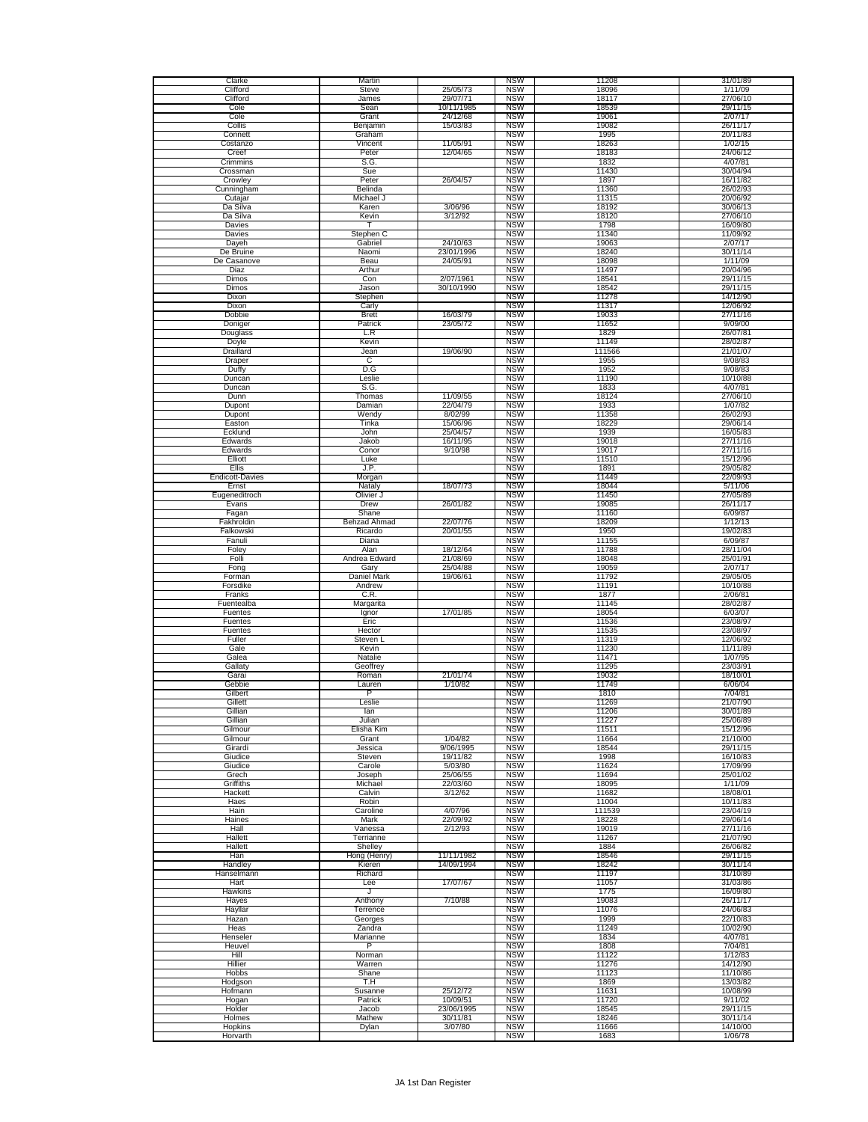| Clarke                  | Martin                       |                        | <b>NSW</b>               | 11208           | 31/01/89             |
|-------------------------|------------------------------|------------------------|--------------------------|-----------------|----------------------|
| Clifford                | Steve                        | 25/05/73               | <b>NSW</b>               | 18096           | 1/11/09              |
| Clifford<br>Cole        | James<br>Sean                | 29/07/71<br>10/11/1985 | <b>NSW</b><br><b>NSW</b> | 18117<br>18539  | 27/06/10<br>29/11/15 |
| Cole                    | Grant                        | 24/12/68               | <b>NSW</b>               | 19061           | 2/07/17              |
| Collis<br>Connett       | Benjamin<br>Graham           | 15/03/83               | <b>NSW</b><br><b>NSW</b> | 19082<br>1995   | 26/11/17<br>20/11/83 |
| Costanzo                | Vincent                      | 11/05/91               | <b>NSW</b>               | 18263           | 1/02/15              |
| Creef                   | Peter                        | 12/04/65               | <b>NSW</b>               | 18183           | 24/06/12             |
| Crimmins<br>Crossman    | S.G.<br>Sue                  |                        | <b>NSW</b><br><b>NSW</b> | 1832<br>11430   | 4/07/81<br>30/04/94  |
| Crowley                 | Peter                        | 26/04/57               | <b>NSW</b>               | 1897            | 16/11/82             |
| Cunningham              | Belinda<br>Michael J         |                        | <b>NSW</b><br><b>NSW</b> | 11360<br>11315  | 26/02/93<br>20/06/92 |
| Cutajar<br>Da Silva     | Karen                        | 3/06/96                | <b>NSW</b>               | 18192           | 30/06/13             |
| Da Silva                | Kevin                        | 3/12/92                | <b>NSW</b>               | 18120           | 27/06/10             |
| Davies<br>Davies        | Stephen C                    |                        | <b>NSW</b><br><b>NSW</b> | 1798<br>11340   | 16/09/80<br>11/09/92 |
| Dayeh                   | Gabriel                      | 24/10/63               | <b>NSW</b>               | 19063           | 2/07/17              |
| De Bruine               | Naomi                        | 23/01/1996<br>24/05/91 | <b>NSW</b><br><b>NSW</b> | 18240<br>18098  | 30/11/14             |
| De Casanove<br>Diaz     | Beau<br>Arthur               |                        | <b>NSW</b>               | 11497           | 1/11/09<br>20/04/96  |
| Dimos                   | Con                          | 2/07/1961              | <b>NSW</b>               | 18541           | 29/11/15             |
| Dimos<br>Dixon          | Jason<br>Stephen             | 30/10/1990             | <b>NSW</b><br><b>NSW</b> | 18542<br>11278  | 29/11/15<br>14/12/90 |
| Dixon                   | Carly                        |                        | <b>NSW</b>               | 11317           | 12/06/92             |
| Dobbie                  | <b>Brett</b>                 | 16/03/79               | <b>NSW</b>               | 19033           | 27/11/16             |
| Doniger<br>Douglass     | Patrick<br>L.R               | 23/05/72               | <b>NSW</b><br><b>NSW</b> | 11652<br>1829   | 9/09/00<br>26/07/81  |
| Doyle                   | Kevin                        |                        | <b>NSW</b>               | 11149           | 28/02/87             |
| Draillard<br>Draper     | Jean<br>С                    | 19/06/90               | <b>NSW</b><br><b>NSW</b> | 111566<br>1955  | 21/01/07<br>9/08/83  |
| Duffy                   | D.G                          |                        | <b>NSW</b>               | 1952            | 9/08/83              |
| Duncan                  | Leslie                       |                        | <b>NSW</b>               | 11190           | 10/10/88             |
| Duncan<br>Dunn          | S.G.<br>Thomas               | 11/09/55               | <b>NSW</b><br><b>NSW</b> | 1833<br>18124   | 4/07/81<br>27/06/10  |
| Dupont                  | Damian                       | 22/04/79               | <b>NSW</b>               | 1933            | 1/07/82              |
| Dupont                  | Wendy                        | 8/02/99<br>15/06/96    | <b>NSW</b>               | 11358<br>18229  | 26/02/93<br>29/06/14 |
| Easton<br>Ecklund       | Tinka<br>John                | 25/04/57               | <b>NSW</b><br><b>NSW</b> | 1939            | 16/05/83             |
| Edwards                 | Jakob                        | 16/11/95               | <b>NSW</b>               | 19018           | 27/11/16             |
| Edwards<br>Elliott      | Conor<br>Luke                | 9/10/98                | <b>NSW</b><br><b>NSW</b> | 19017<br>11510  | 27/11/16<br>15/12/96 |
| Ellis                   | J.P.                         |                        | <b>NSW</b>               | 1891            | 29/05/82             |
| <b>Endicott-Davies</b>  | Morgan                       |                        | <b>NSW</b>               | 11449           | 22/09/93             |
| Ernst<br>Eugeneditroch  | Nataly<br>Olivier J          | 18/07/73               | <b>NSW</b><br><b>NSW</b> | 18044<br>11450  | 5/11/06<br>27/05/89  |
| Evans                   | Drew                         | 26/01/82               | <b>NSW</b>               | 19085           | 26/11/17             |
| Fagan<br>Fakhroldin     | Shane<br><b>Behzad Ahmad</b> | 22/07/76               | <b>NSW</b><br><b>NSW</b> | 11160<br>18209  | 6/09/87<br>1/12/13   |
| Falkowski               | Ricardo                      | 20/01/55               | <b>NSW</b>               | 1950            | 19/02/83             |
| Fanuli                  | Diana                        |                        | <b>NSW</b>               | 11155           | 6/09/87              |
| Foley<br>Folli          | Alan<br>Andrea Edward        | 18/12/64<br>21/08/69   | <b>NSW</b><br><b>NSW</b> | 11788<br>18048  | 28/11/04<br>25/01/91 |
| Fong                    | Gary                         | 25/04/88               | <b>NSW</b>               | 19059           | 2/07/17              |
| Forman                  | <b>Daniel Mark</b>           | 19/06/61               | <b>NSW</b>               | 11792           | 29/05/05             |
| Forsdike<br>Franks      | Andrew<br>C.R.               |                        | <b>NSW</b><br><b>NSW</b> | 11191<br>1877   | 10/10/88<br>2/06/81  |
| Fuentealba              | Margarita                    |                        | <b>NSW</b>               | 11145           | 28/02/87             |
| Fuentes<br>Fuentes      | Ignor<br>Eric                | 17/01/85               | <b>NSW</b><br><b>NSW</b> | 18054<br>11536  | 6/03/07<br>23/08/97  |
| <b>Fuentes</b>          | Hector                       |                        | <b>NSW</b>               | 11535           | 23/08/97             |
| Fuller                  | Steven L                     |                        | <b>NSW</b>               | 11319           | 12/06/92             |
| Gale<br>Galea           | Kevin<br>Natalie             |                        | <b>NSW</b><br><b>NSW</b> | 11230<br>11471  | 11/11/89<br>1/07/95  |
| Gallaty                 | Geoffrey                     |                        | <b>NSW</b>               | 11295           | 23/03/91             |
| Garai                   | Roman                        | 21/01/74<br>1/10/82    | <b>NSW</b><br><b>NSW</b> | 19032<br>11749  | 18/10/01             |
| Gebbie<br>Gilbert       | Lauren<br>P                  |                        | <b>NSW</b>               | 1810            | 6/06/04<br>7/04/81   |
| Gillett                 | Leslie                       |                        | <b>NSW</b>               | 11269           | 21/07/90             |
| Gillian<br>Gillian      | lan<br>Julian                |                        | <b>NSW</b><br><b>NSW</b> | 11206<br>11227  | 30/01/89<br>25/06/89 |
| Gilmour                 | Elisha Kim                   |                        | <b>NSW</b>               | 11511           | 15/12/96             |
| Gilmour                 | Grant                        | 1/04/82<br>9/06/1995   | <b>NSW</b>               | 11664           | 21/10/00             |
| Girardi<br>Giudice      | Jessica<br>Steven            | 19/11/82               | <b>NSW</b><br><b>NSW</b> | 18544<br>1998   | 29/11/15<br>16/10/83 |
| Giudice                 | Carole                       | 5/03/80                | <b>NSW</b>               | 11624           | 17/09/99             |
| Grech<br>Griffiths      | Joseph<br>Michael            | 25/06/55<br>22/03/60   | <b>NSW</b><br><b>NSW</b> | 11694<br>18095  | 25/01/02<br>1/11/09  |
| Hackett                 | Calvin                       | 3/12/62                | <b>NSW</b>               | 11682           | 18/08/01             |
| Haes                    | Robin                        |                        | <b>NSW</b>               | 11004           | 10/11/83             |
| Hain<br>Haines          | Caroline<br>Mark             | 4/07/96<br>22/09/92    | <b>NSW</b><br><b>NSW</b> | 111539<br>18228 | 23/04/19<br>29/06/14 |
| Hall                    | Vanessa                      | 2/12/93                | <b>NSW</b>               | 19019           | 27/11/16             |
| Hallett                 | Terrianne<br>Shelley         |                        | <b>NSW</b><br><b>NSW</b> | 11267<br>1884   | 21/07/90<br>26/06/82 |
| Hallett<br>Han          | Hong (Henry)                 | 11/11/1982             | <b>NSW</b>               | 18546           | 29/11/15             |
| Handley                 | Kieren                       | 14/09/1994             | <b>NSW</b>               | 18242           | 30/11/14             |
| Hanselmann<br>Hart      | Richard<br>Lee               | 17/07/67               | <b>NSW</b><br><b>NSW</b> | 11197<br>11057  | 31/10/89<br>31/03/86 |
| Hawkins                 | J                            |                        | <b>NSW</b>               | 1775            | 16/09/80             |
| Hayes                   | Anthony                      | 7/10/88                | <b>NSW</b><br><b>NSW</b> | 19083<br>11076  | 26/11/17<br>24/06/83 |
| Hayllar<br>Hazan        | Terrence<br>Georges          |                        | <b>NSW</b>               | 1999            | 22/10/83             |
| Heas                    | Zandra                       |                        | <b>NSW</b>               | 11249           | 10/02/90             |
| Henseler<br>Heuvel      | Marianne<br>P                |                        | <b>NSW</b><br><b>NSW</b> | 1834<br>1808    | 4/07/81<br>7/04/81   |
| Hill                    | Norman                       |                        | <b>NSW</b>               | 11122           | 1/12/83              |
| Hillier                 | Warren                       |                        | <b>NSW</b>               | 11276           | 14/12/90             |
| <b>Hobbs</b><br>Hodgson | Shane<br>T.H                 |                        | <b>NSW</b><br><b>NSW</b> | 11123<br>1869   | 11/10/86<br>13/03/82 |
| Hofmann                 | Susanne                      | 25/12/72               | <b>NSW</b>               | 11631           | 10/08/99             |
| Hogan<br>Holder         | Patrick<br>Jacob             | 10/09/51<br>23/06/1995 | <b>NSW</b><br><b>NSW</b> | 11720<br>18545  | 9/11/02<br>29/11/15  |
| Holmes                  | Mathew                       | 30/11/81               | <b>NSW</b>               | 18246           | 30/11/14             |
| Hopkins                 | Dylan                        | 3/07/80                | <b>NSW</b>               | 11666           | 14/10/00             |
| Horvarth                |                              |                        | <b>NSW</b>               | 1683            | 1/06/78              |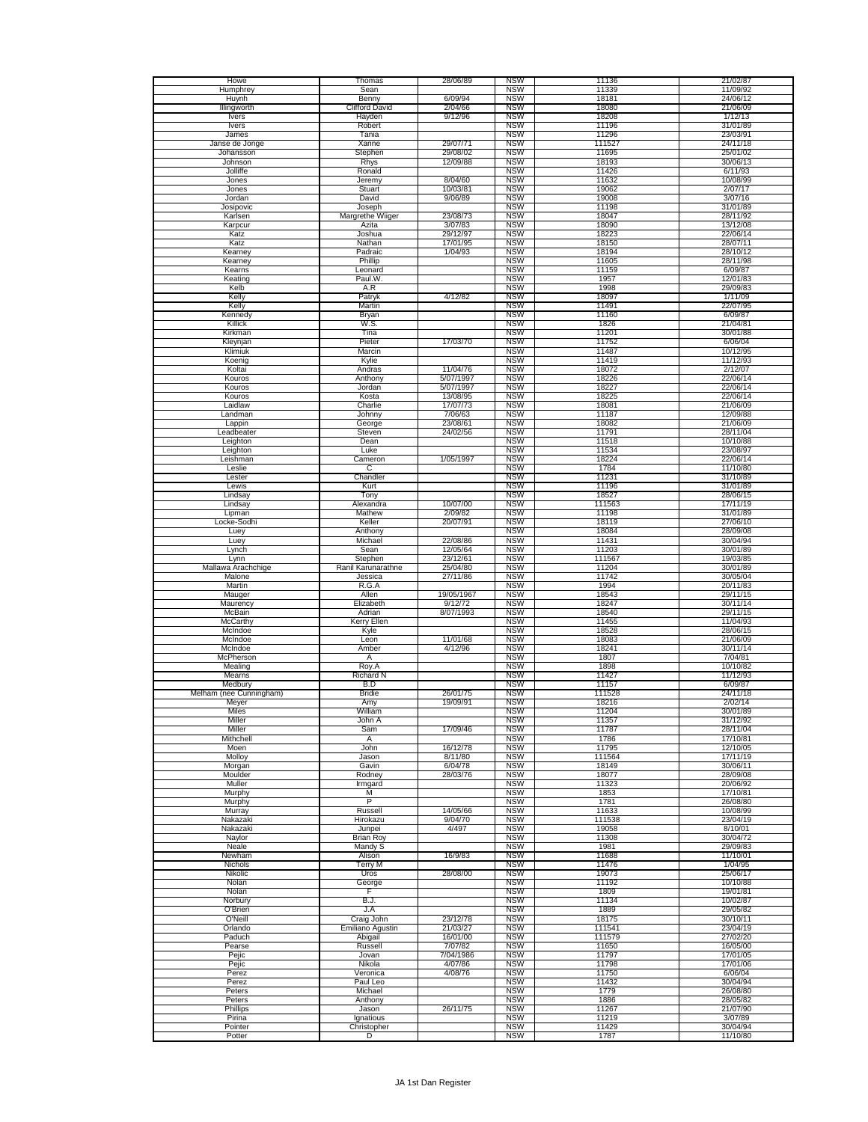| Howe                    |                          | 28/06/89   | <b>NSW</b> |                | 21/02/87            |
|-------------------------|--------------------------|------------|------------|----------------|---------------------|
|                         | Thomas                   |            |            | 11136          |                     |
| Humphrey                | Sean                     |            | <b>NSW</b> | 11339          | 11/09/92            |
| Huynh                   | Benny                    | 6/09/94    | <b>NSW</b> | 18181          | 24/06/12            |
| Illingworth             | <b>Clifford David</b>    | 2/04/66    | <b>NSW</b> | 18080          | 21/06/09            |
| <b>Ivers</b>            | Hayden                   | 9/12/96    | <b>NSW</b> | 18208          | 1/12/13             |
| Ivers                   | Robert                   |            | <b>NSW</b> | 11196          | 31/01/89            |
| James                   | Tania                    |            | <b>NSW</b> | 11296          | 23/03/91            |
| Janse de Jonge          | Xanne                    | 29/07/71   | <b>NSW</b> | 111527         | 24/11/18            |
| Johansson               | Stephen                  | 29/08/02   | <b>NSW</b> | 11695          | 25/01/02            |
| Johnson                 | Rhys                     | 12/09/88   | <b>NSW</b> | 18193          | 30/06/13            |
| Jolliffe                | Ronald                   |            | <b>NSW</b> | 11426          | 6/11/93             |
| Jones                   | Jeremy                   | 8/04/60    | <b>NSW</b> | 11632          | 10/08/99            |
| Jones                   | Stuart                   | 10/03/81   | <b>NSW</b> | 19062          | 2/07/17             |
| Jordan                  | David                    | 9/06/89    | <b>NSW</b> | 19008          | 3/07/16             |
| Josipovic               | Joseph                   |            | <b>NSW</b> | 11198          | 31/01/89            |
| Karlsen                 | Margrethe Wiiger         | 23/08/73   | <b>NSW</b> | 18047          | 28/11/92            |
| Karpcur                 | Azita                    | 3/07/83    | <b>NSW</b> | 18090          | 13/12/08            |
| Katz                    | Joshua                   | 29/12/97   | <b>NSW</b> | 18223          | 22/06/14            |
| Katz                    | Nathan                   | 17/01/95   | <b>NSW</b> | 18150          | 28/07/11            |
|                         |                          | 1/04/93    |            |                | 28/10/12            |
| Kearney                 | Padraic                  |            | <b>NSW</b> | 18194          |                     |
| Kearney                 | Phillip                  |            | <b>NSW</b> | 11605          | 28/11/98            |
| Kearns                  | Leonard                  |            | <b>NSW</b> | 11159          | 6/09/87             |
| Keating                 | Paul.W.                  |            | <b>NSW</b> | 1957           | 12/01/83            |
| Kelb                    | A.R                      |            | <b>NSW</b> | 1998           | 29/09/83            |
| Kelly                   | Patryk                   | 4/12/82    | <b>NSW</b> | 18097          | 1/11/09             |
| Kelly                   | Martin                   |            | <b>NSW</b> | 11491          | 22/07/95            |
| Kennedy                 | <b>Bryan</b>             |            | <b>NSW</b> | 11160          | 6/09/87             |
| Killick                 | W.S.                     |            | <b>NSW</b> | 1826           | 21/04/81            |
| Kirkman                 | Tina                     |            | <b>NSW</b> | 11201          | 30/01/88            |
| Kleynjan                | Pieter                   | 17/03/70   | <b>NSW</b> | 11752          | 6/06/04             |
| Klimiuk                 | Marcin                   |            | <b>NSW</b> | 11487          | 10/12/95            |
| Koenig                  | Kylie                    |            | <b>NSW</b> | 11419          | 11/12/93            |
| Koltai                  | Andras                   | 11/04/76   | <b>NSW</b> | 18072          | 2/12/07             |
| Kouros                  | Anthony                  | 5/07/1997  | <b>NSW</b> | 18226          | 22/06/14            |
| Kouros                  | Jordan                   | 5/07/1997  | <b>NSW</b> | 18227          | 22/06/14            |
| Kouros                  | Kosta                    | 13/08/95   | <b>NSW</b> | 18225          | 22/06/14            |
| Laidlaw                 | Charlie                  | 17/07/73   | <b>NSW</b> | 18081          | 21/06/09            |
| Landman                 |                          | 7/06/63    | <b>NSW</b> | 11187          | 12/09/88            |
|                         | Johnny                   | 23/08/61   |            |                |                     |
| Lappin                  | George                   |            | <b>NSW</b> | 18082          | 21/06/09            |
| Leadbeater              | Steven                   | 24/02/56   | <b>NSW</b> | 11791          | 28/11/04            |
| Leighton                | Dean                     |            | <b>NSW</b> | 11518          | 10/10/88            |
| Leighton                | Luke                     |            | <b>NSW</b> | 11534          | 23/08/97            |
| Leishman                | Cameron                  | 1/05/1997  | <b>NSW</b> | 18224          | 22/06/14            |
| Leslie                  | С                        |            | <b>NSW</b> | 1784           | 11/10/80            |
| Lester                  | Chandler                 |            | <b>NSW</b> | 11231          | 31/10/89            |
| Lewis                   | Kurt                     |            | <b>NSW</b> | 11196          | 31/01/89            |
| Lindsay                 | Tony                     |            | <b>NSW</b> | 18527          | 28/06/15            |
| Lindsay                 | Alexandra                | 10/07/00   | <b>NSW</b> | 111563         | 17/11/19            |
| Lipman                  | Mathew                   | 2/09/82    | <b>NSW</b> | 11198          | 31/01/89            |
| Locke-Sodhi             | Keller                   | 20/07/91   | <b>NSW</b> | 18119          | 27/06/10            |
| Luey                    | Anthony                  |            | <b>NSW</b> | 18084          | 28/09/08            |
| Luey                    | Michael                  | 22/08/86   | <b>NSW</b> | 11431          | 30/04/94            |
| Lynch                   | Sean                     | 12/05/64   | <b>NSW</b> | 11203          | 30/01/89            |
| Lynn                    | Stephen                  | 23/12/61   | <b>NSW</b> | 111567         | 19/03/85            |
| Mallawa Arachchige      | Ranil Karunarathne       | 25/04/80   | <b>NSW</b> | 11204          | 30/01/89            |
|                         |                          |            |            |                |                     |
|                         |                          |            |            |                |                     |
| Malone                  | Jessica                  | 27/11/86   | <b>NSW</b> | 11742          | 30/05/04            |
| Martin                  | R.G.A                    |            | <b>NSW</b> | 1994           | 20/11/83            |
| Mauger                  | Allen                    | 19/05/1967 | <b>NSW</b> | 18543          | 29/11/15            |
| Maurency                | Elizabeth                | 9/12/72    | <b>NSW</b> | 18247          | 30/11/14            |
| McBain                  | Adrian                   | 8/07/1993  | <b>NSW</b> | 18540          | 29/11/15            |
| McCarthy                | Kerry Ellen              |            | <b>NSW</b> | 11455          | 11/04/93            |
| McIndoe                 | Kyle                     |            | <b>NSW</b> | 18528          | 28/06/15            |
| McIndoe                 | Leon                     | 11/01/68   | <b>NSW</b> | 18083          | 21/06/09            |
| McIndoe                 | Amber                    | 4/12/96    | <b>NSW</b> | 18241          | 30/11/14            |
| McPherson               | Α                        |            | <b>NSW</b> | 1807           | 7/04/81             |
| Mealing                 | Roy.A                    |            | <b>NSW</b> | 1898           | 10/10/82            |
| Mearns                  | Richard N                |            | <b>NSW</b> | 11427          | 11/12/93            |
| Medbury                 | B.D                      |            | <b>NSW</b> | 11157          | 6/09/87             |
| Melham (nee Cunningham) | <b>Bridie</b>            | 26/01/75   | <b>NSW</b> | 111528         | 24/11/18            |
| Meyer                   | Amy                      | 19/09/91   | <b>NSW</b> | 18216          | 2/02/14             |
| Miles                   | William                  |            | <b>NSW</b> | 11204          | 30/01/89            |
| Miller                  | John A                   |            | <b>NSW</b> | 11357          | 31/12/92            |
| Miller                  | Sam                      | 17/09/46   | <b>NSW</b> | 11787          | 28/11/04            |
| Mithchell               | Α                        |            | <b>NSW</b> | 1786           | 17/10/81            |
| Moen                    | John                     | 16/12/78   | <b>NSW</b> | 11795          | 12/10/05            |
| Molloy                  | Jason                    | 8/11/80    | <b>NSW</b> | 111564         | 17/11/19            |
| Morgan                  | Gavin                    | 6/04/78    | <b>NSW</b> | 18149          | 30/06/11            |
|                         |                          |            |            |                |                     |
| Moulder                 | Rodney                   | 28/03/76   | <b>NSW</b> | 18077          | 28/09/08            |
| Muller                  | Irmgard                  |            | <b>NSW</b> | 11323          | 20/06/92            |
| Murphy                  | М<br>P                   |            | <b>NSW</b> | 1853           | 17/10/81            |
| Murphy                  |                          |            | <b>NSW</b> | 1781           | 26/08/80            |
| Murray                  | Russell                  | 14/05/66   | <b>NSW</b> | 11633          | 10/08/99            |
| Nakazaki                | Hirokazu                 | 9/04/70    | <b>NSW</b> | 111538         | 23/04/19            |
| Nakazaki                | Junpei                   | 4/497      | <b>NSW</b> | 19058          | 8/10/01             |
| Naylor                  | <b>Brian Roy</b>         |            | <b>NSW</b> | 11308          | 30/04/72            |
| Neale                   | Mandy S                  |            | <b>NSW</b> | 1981           | 29/09/83            |
| Newham                  | Alison                   | 16/9/83    | <b>NSW</b> | 11688          | 11/10/01            |
| Nichols                 | Terry M                  |            | <b>NSW</b> | 11476          | 1/04/95             |
| Nikolic                 | Uros                     | 28/08/00   | <b>NSW</b> | 19073          | 25/06/17            |
| Nolan                   | George                   |            | <b>NSW</b> | 11192          | 10/10/88            |
| Nolan                   | F                        |            | <b>NSW</b> | 1809           | 19/01/81            |
| Norbury                 | <b>B.J.</b>              |            | <b>NSW</b> | 11134          | 10/02/87            |
| O'Brien                 | J.A                      |            | <b>NSW</b> | 1889           | 29/05/82            |
| O'Neill                 | Craig John               | 23/12/78   | <b>NSW</b> | 18175          | 30/10/11            |
| Orlando                 | Emiliano Agustin         | 21/03/27   | <b>NSW</b> | 111541         | 23/04/19            |
| Paduch                  | Abigail                  | 16/01/00   | <b>NSW</b> | 111579         | 27/02/20            |
| Pearse                  | Russell                  | 7/07/82    | <b>NSW</b> | 11650          | 16/05/00            |
| Pejic                   | Jovan                    | 7/04/1986  | <b>NSW</b> | 11797          | 17/01/05            |
| Pejic                   | Nikola                   | 4/07/86    | <b>NSW</b> | 11798          | 17/01/06            |
| Perez                   | Veronica                 | 4/08/76    | <b>NSW</b> | 11750          | 6/06/04             |
| Perez                   | Paul Leo                 |            | <b>NSW</b> | 11432          | 30/04/94            |
| Peters                  | Michael                  |            | <b>NSW</b> | 1779           | 26/08/80            |
| Peters                  | Anthony                  |            | <b>NSW</b> | 1886           | 28/05/82            |
| Phillips                | Jason                    | 26/11/75   | <b>NSW</b> | 11267          | 21/07/90            |
|                         |                          |            | <b>NSW</b> |                |                     |
| Pirina<br>Pointer       | Ignatious<br>Christopher |            | <b>NSW</b> | 11219<br>11429 | 3/07/89<br>30/04/94 |
| Potter                  | D                        |            | <b>NSW</b> | 1787           | 11/10/80            |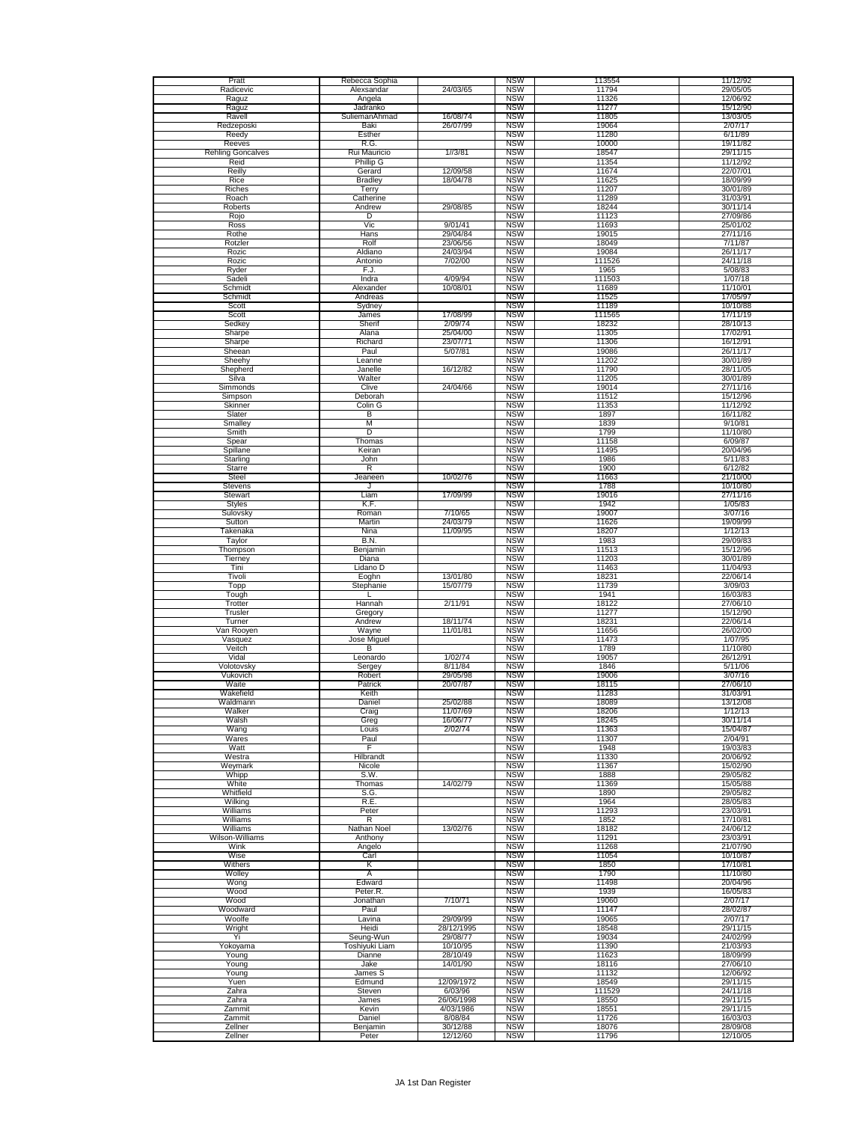| Pratt                    | Rebecca Sophia    |                        | <b>NSW</b>               | 113554         | 11/12/92             |
|--------------------------|-------------------|------------------------|--------------------------|----------------|----------------------|
| Radicevic                | Alexsandar        | 24/03/65               | <b>NSW</b>               | 11794          | 29/05/05             |
|                          |                   |                        |                          |                |                      |
| Raguz                    | Angela            |                        | <b>NSW</b>               | 11326          | 12/06/92             |
| Raguz                    | Jadranko          |                        | <b>NSW</b>               | 11277          | 15/12/90             |
| Ravell                   | SuliemanAhmad     | 16/08/74               | <b>NSW</b>               | 11805          | 13/03/05             |
| Redzeposki               | Baki              | 26/07/99               | <b>NSW</b>               | 19064          | 2/07/17              |
| Reedy                    | Esther            |                        | <b>NSW</b>               | 11280          | 6/11/89              |
| Reeves                   | R.G.              |                        | <b>NSW</b>               | 10000          | 19/11/82             |
| <b>Rehling Goncalves</b> | Rui Mauricio      | 1//3/81                | <b>NSW</b>               | 18547          | 29/11/15             |
| Reid                     | Phillip G         |                        | <b>NSW</b>               | 11354          | 11/12/92             |
| Reilly                   | Gerard            | 12/09/58               | <b>NSW</b>               | 11674          | 22/07/01             |
| Rice                     | Bradley           | 18/04/78               | <b>NSW</b>               | 11625          | 18/09/99             |
| Riches                   | Terry             |                        | <b>NSW</b>               | 11207          | 30/01/89             |
| Roach                    | Catherine         |                        | <b>NSW</b>               | 11289          | 31/03/91             |
| Roberts                  | Andrew            | 29/08/85               | <b>NSW</b>               | 18244          | 30/11/14             |
| Rojo                     | D                 |                        | <b>NSW</b>               | 11123          | 27/09/86             |
| Ross                     | Vic               | 9/01/41                | <b>NSW</b>               | 11693          | 25/01/02             |
| Rothe                    | Hans              | 29/04/84               | <b>NSW</b>               | 19015          | 27/11/16             |
| Rotzler                  | Rolf              | 23/06/56               | <b>NSW</b>               | 18049          | 7/11/87              |
| Rozic                    | Aldiano           | 24/03/94               | <b>NSW</b>               | 19084          | 26/11/17             |
| Rozic                    | Antonio           | 7/02/00                | <b>NSW</b>               | 111526         | 24/11/18             |
| Ryder                    | F.J.              |                        | <b>NSW</b>               | 1965           | 5/08/83              |
| Sadeli                   | Indra             | 4/09/94                | <b>NSW</b>               | 111503         | 1/07/18              |
| Schmidt                  | Alexander         | 10/08/01               | <b>NSW</b>               | 11689          | 11/10/01             |
| Schmidt                  | Andreas           |                        | <b>NSW</b>               | 11525          | 17/05/97             |
| Scott                    |                   |                        | <b>NSW</b>               | 11189          | 10/10/88             |
|                          | Sydney            | 17/08/99               | <b>NSW</b>               |                |                      |
| Scott                    | James             |                        |                          | 111565         | 17/11/19             |
| Sedkey                   | Sherif            | 2/09/74                | <b>NSW</b>               | 18232          | 28/10/13             |
| Sharpe                   | Alana             | 25/04/00               | <b>NSW</b>               | 11305          | 17/02/91             |
| Sharpe                   | Richard           | 23/07/71               | <b>NSW</b>               | 11306          | 16/12/91             |
| Sheean                   | Paul              | 5/07/81                | <b>NSW</b>               | 19086          | 26/11/17             |
| Sheehy                   | Leanne            |                        | <b>NSW</b>               | 11202          | 30/01/89             |
| Shepherd                 | Janelle           | 16/12/82               | <b>NSW</b>               | 11790          | 28/11/05             |
| Silva                    | Walter            |                        | <b>NSW</b>               | 11205          | 30/01/89             |
| Simmonds                 | Clive             | 24/04/66               | <b>NSW</b>               | 19014          | 27/11/16             |
| Simpson                  | Deborah           |                        | <b>NSW</b>               | 11512          | 15/12/96             |
| Skinner                  | Colin G           |                        | <b>NSW</b>               | 11353          | 11/12/92             |
| Slater                   | В                 |                        | <b>NSW</b>               | 1897           | 16/11/82             |
| Smalley                  | М                 |                        | <b>NSW</b>               | 1839           | 9/10/81              |
| Smith                    | D                 |                        | <b>NSW</b>               | 1799           | 11/10/80             |
| Spear                    | Thomas            |                        | <b>NSW</b>               | 11158          | 6/09/87              |
| Spillane                 | Keiran            |                        | <b>NSW</b>               | 11495          | 20/04/96             |
| Starling                 | John              |                        | <b>NSW</b>               | 1986           | 5/11/83              |
|                          |                   |                        | <b>NSW</b>               | 1900           |                      |
| Starre                   | R                 |                        |                          |                | 6/12/82<br>21/10/00  |
| Steel                    | Jeaneen           | 10/02/76               | <b>NSW</b>               | 11663          |                      |
| Stevens                  | J                 |                        | <b>NSW</b>               | 1788           | 10/10/80             |
| Stewart                  | Liam              | 17/09/99               | <b>NSW</b>               | 19016          | 27/11/16             |
| <b>Styles</b>            | K.F.              |                        | <b>NSW</b>               | 1942           | 1/05/83              |
| Sulovsky                 | Roman             | 7/10/65                | <b>NSW</b>               | 19007          | 3/07/16              |
| Sutton                   | Martin            | 24/03/79               | <b>NSW</b>               | 11626          | 19/09/99             |
| Takenaka                 | Nina              | 11/09/95               | <b>NSW</b>               | 18207          | 1/12/13              |
| Taylor                   | B.N.              |                        | <b>NSW</b>               | 1983           | 29/09/83             |
| Thompson                 | Benjamin          |                        | <b>NSW</b>               | 11513          | 15/12/96             |
| Tierney                  | Diana             |                        | <b>NSW</b>               | 11203          | 30/01/89             |
| Tini                     | Lidano D          |                        | <b>NSW</b>               | 11463          | 11/04/93             |
| Tivoli                   | Eoghn             | 13/01/80               | <b>NSW</b>               | 18231          | 22/06/14             |
| Topp                     | Stephanie         | 15/07/79               | <b>NSW</b>               | 11739          | 3/09/03              |
| Tough                    | L                 |                        | <b>NSW</b>               | 1941           | 16/03/83             |
| Trotter                  | Hannah            | 2/11/91                | <b>NSW</b>               | 18122          | 27/06/10             |
| Trusler                  | Gregory           |                        | <b>NSW</b>               | 11277          | 15/12/90             |
| Turner                   | Andrew            | 18/11/74               | <b>NSW</b>               | 18231          | 22/06/14             |
| Van Rooyen               | Wayne             | 11/01/81               | <b>NSW</b>               | 11656          | 26/02/00             |
| Vasquez                  | Jose Miguel       |                        | <b>NSW</b>               | 11473          | 1/07/95              |
| Veitch                   | В                 |                        | <b>NSW</b>               | 1789           | 11/10/80             |
| Vidal                    |                   | 1/02/74                |                          | 19057          | 26/12/91             |
|                          | Leonardo          | 8/11/84                | <b>NSW</b>               |                |                      |
| Volotovsky               | Sergey            |                        | <b>NSW</b>               | 1846           | 5/11/06              |
| Vukovich                 | Robert            | 29/05/98               | <b>NSW</b>               | 19006          | 3/07/16              |
| Waite<br>Wakefield       | Patrick           | 20/07/87               | <b>NSW</b>               | 18115          | 27/06/10             |
|                          | Keith             |                        | <b>NSW</b>               | 11283          | 31/03/91             |
| Waldmann                 | Daniel            | 25/02/88               | <b>NSW</b>               | 18089          | 13/12/08             |
| Walker                   | Craig             | 11/07/69               | <b>NSW</b>               | 18206          | 1/12/13              |
| Walsh                    | Greg              | 16/06/77               | <b>NSW</b>               | 18245          | 30/11/14             |
| Wang                     | Louis             | 2/02/74                |                          |                | 15/04/87             |
| Wares                    | Paul              |                        | <b>NSW</b>               | 11363          |                      |
| Watt                     |                   |                        | <b>NSW</b>               | 11307          | 2/04/91              |
|                          | F                 |                        | <b>NSW</b>               | 1948           | 19/03/83             |
| Westra                   | Hilbrandt         |                        | <b>NSW</b>               | 11330          | 20/06/92             |
| Weymark                  | Nicole            |                        | <b>NSW</b>               | 11367          | 15/02/90             |
| Whipp                    | S.W.              |                        | <b>NSW</b>               | 1888           | 29/05/82             |
| White                    | Thomas            | 14/02/79               | <b>NSW</b>               | 11369          | 15/05/88             |
| Whitfield                | S.G.              |                        | <b>NSW</b>               | 1890           | 29/05/82             |
| Wilking                  | R.E.              |                        | <b>NSW</b>               | 1964           | 28/05/83             |
| Williams                 | Peter             |                        | <b>NSW</b>               | 11293          | 23/03/91             |
| Williams                 | R                 |                        | <b>NSW</b>               | 1852           | 17/10/81             |
| Williams                 | Nathan Noel       | 13/02/76               | <b>NSW</b>               | 18182          | 24/06/12             |
| Wilson-Williams          | Anthony           |                        | <b>NSW</b>               | 11291          | 23/03/91             |
| Wink                     | Angelo            |                        | <b>NSW</b>               | 11268          | 21/07/90             |
| Wise                     | Carl              |                        | <b>NSW</b>               | 11054          | 10/10/87             |
| Withers                  | κ                 |                        | <b>NSW</b>               | 1850           | 17/10/81             |
| Wolley                   | Α                 |                        | <b>NSW</b>               | 1790           | 11/10/80             |
| Wong                     | Edward            |                        | <b>NSW</b>               | 11498          | 20/04/96             |
| Wood                     | Peter.R.          |                        | <b>NSW</b>               | 1939           | 16/05/83             |
|                          | Jonathan          | 7/10/71                | <b>NSW</b>               | 19060          | 2/07/17              |
| Wood<br>Woodward         | Paul              |                        | <b>NSW</b>               | 11147          | 28/02/87             |
|                          |                   |                        |                          |                |                      |
| Woolfe                   | Lavina            | 29/09/99<br>28/12/1995 | <b>NSW</b>               | 19065          | 2/07/17              |
| Wright                   | Heidi             |                        | <b>NSW</b>               | 18548          | 29/11/15             |
| Yi                       | Seung-Wun         | 29/08/77               | <b>NSW</b>               | 19034          | 24/02/99             |
| Yokoyama                 | Toshiyuki Liam    | 10/10/95               | <b>NSW</b>               | 11390          | 21/03/93             |
| Young                    | Dianne            | 28/10/49               | <b>NSW</b>               | 11623          | 18/09/99             |
| Young                    | Jake              | 14/01/90               | <b>NSW</b>               | 18116          | 27/06/10             |
| Young                    | James S           |                        | <b>NSW</b>               | 11132          | 12/06/92             |
| Yuen                     | Edmund            | 12/09/1972             | <b>NSW</b>               | 18549          | 29/11/15             |
| Zahra                    | Steven            | 6/03/96                | <b>NSW</b>               | 111529         | 24/11/18             |
| Zahra                    | James             | 26/06/1998             | <b>NSW</b>               | 18550          | 29/11/15             |
| Zammit                   | Kevin             | 4/03/1986              | <b>NSW</b>               | 18551          | 29/11/15             |
| Zammit                   | Daniel            | 8/08/84                | <b>NSW</b>               | 11726          | 16/03/03             |
| Zellner<br>Zellner       | Benjamin<br>Peter | 30/12/88<br>12/12/60   | <b>NSW</b><br><b>NSW</b> | 18076<br>11796 | 28/09/08<br>12/10/05 |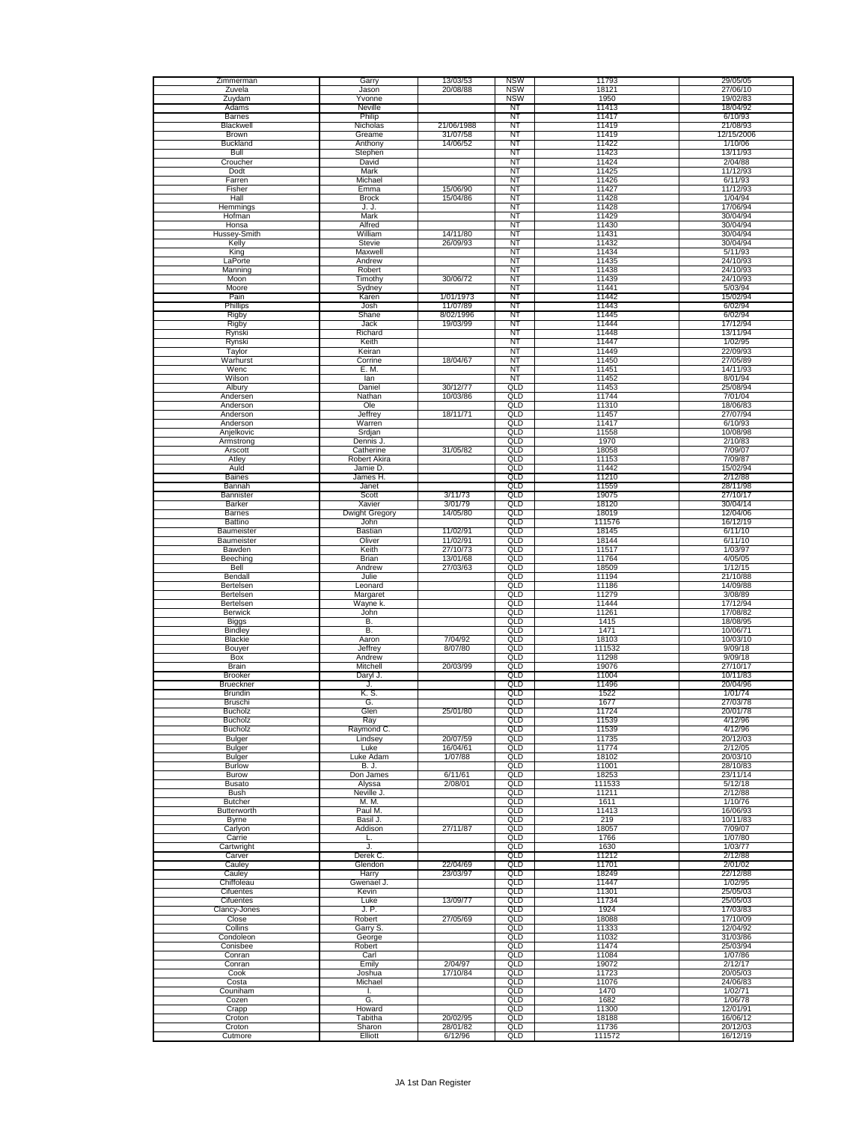| Zimmerman                     | Garry                  | 13/03/53              | <b>NSW</b>             | 11793           | 29/05/05             |
|-------------------------------|------------------------|-----------------------|------------------------|-----------------|----------------------|
| Zuvela                        | Jason                  | 20/08/88              | <b>NSW</b>             | 18121           | 27/06/10             |
| Zuydam<br>Adams               | Yvonne<br>Neville      |                       | <b>NSW</b><br>N1       | 1950<br>11413   | 19/02/83<br>18/04/92 |
| <b>Barnes</b>                 | Philip                 |                       | N <sub>1</sub>         | 11417           | 6/10/93              |
| Blackwell                     | Nicholas               | 21/06/1988            | NT                     | 11419           | 21/08/93             |
| Brown<br><b>Buckland</b>      | Greame                 | 31/07/58<br>14/06/52  | NT<br>N <sub>1</sub>   | 11419<br>11422  | 12/15/2006           |
| Bull                          | Anthony<br>Stephen     |                       | <b>NT</b>              | 11423           | 1/10/06<br>13/11/93  |
| Croucher                      | David                  |                       | <b>NT</b>              | 11424           | 2/04/88              |
| Dodt                          | Mark                   |                       | NT                     | 11425           | 11/12/93             |
| Farren<br>Fisher              | Michael<br>Emma        | 15/06/90              | NT<br>NT               | 11426<br>11427  | 6/11/93<br>11/12/93  |
| Hall                          | <b>Brock</b>           | 15/04/86              | NT                     | 11428           | 1/04/94              |
| Hemmings                      | J. J.                  |                       | <b>NT</b>              | 11428           | 17/06/94             |
| Hofman                        | Mark                   |                       | <b>NT</b>              | 11429           | 30/04/94<br>30/04/94 |
| Honsa<br>Hussey-Smith         | Alfred<br>William      | 14/11/80              | NT<br>N <sub>1</sub>   | 11430<br>11431  | 30/04/94             |
| Kelly                         | Stevie                 | 26/09/93              | ΝT                     | 11432           | 30/04/94             |
| King                          | Maxwell                |                       | ΝT                     | 11434           | 5/11/93              |
| LaPorte<br>Manning            | Andrew<br>Robert       |                       | NT<br>N <sub>1</sub>   | 11435<br>11438  | 24/10/93<br>24/10/93 |
| Moon                          | Timothy                | 30/06/72              | NT                     | 11439           | 24/10/93             |
| Moore                         | Sydney                 |                       | NT                     | 11441           | 5/03/94              |
| Pain                          | Karen<br>Josh          | 1/01/1973<br>11/07/89 | <b>NT</b><br><b>NT</b> | 11442<br>11443  | 15/02/94<br>6/02/94  |
| Phillips<br>Rigby             | Shane                  | 8/02/1996             | ΝT                     | 11445           | 6/02/94              |
| Rigby                         | Jack                   | 19/03/99              | ΝT                     | 11444           | 17/12/94             |
| Rynski                        | Richard                |                       | N1                     | 11448           | 13/11/94             |
| Rynski<br>Taylor              | Keith<br>Keiran        |                       | N1<br><b>NT</b>        | 11447<br>11449  | 1/02/95<br>22/09/93  |
| Warhurst                      | Corrine                | 18/04/67              | ΝT                     | 11450           | 27/05/89             |
| Wenc                          | E. M.                  |                       | <b>NT</b>              | 11451           | 14/11/93             |
| Wilson                        | lan                    |                       | <b>NT</b>              | 11452           | 8/01/94              |
| Albury<br>Andersen            | Daniel<br>Nathan       | 30/12/77<br>10/03/86  | QLD<br>QLD             | 11453<br>11744  | 25/08/94<br>7/01/04  |
| Anderson                      | Ole                    |                       | <b>QLD</b>             | 11310           | 18/06/83             |
| Anderson                      | Jeffrey                | 18/11/71              | QLD                    | 11457           | 27/07/94             |
| Anderson                      | Warren                 |                       | QLD                    | 11417           | 6/10/93              |
| Anjelkovic<br>Armstrong       | Srdjan<br>Dennis J     |                       | QLD<br>QLD             | 11558<br>1970   | 10/08/98<br>2/10/83  |
| Arscott                       | Catherine              | 31/05/82              | QLD                    | 18058           | 7/09/07              |
| Atley                         | Robert Akira           |                       | QLD                    | 11153           | 7/09/87              |
| Auld<br><b>Baines</b>         | Jamie D.<br>James H.   |                       | QLD<br>QLD             | 11442<br>11210  | 15/02/94<br>2/12/88  |
| <b>Bannah</b>                 | Janet                  |                       | QLD                    | 11559           | 28/11/98             |
| <b>Bannister</b>              | Scott                  | 3/11/73               | QLD                    | 19075           | 27/10/17             |
| Barker                        | Xavier                 | 3/01/79               | QLD                    | 18120           | 30/04/14             |
| <b>Barnes</b><br>Battino      | Dwight Gregory<br>John | 14/05/80              | QLD<br>QLD             | 18019<br>111576 | 12/04/06<br>16/12/19 |
| Baumeister                    | <b>Bastian</b>         | 11/02/91              | QLD                    | 18145           | 6/11/10              |
| Baumeister                    | Oliver                 | 11/02/91              | QLD                    | 18144           | 6/11/10              |
| Bawden                        | Keith                  | 27/10/73              | QLD                    | 11517           | 1/03/97              |
| Beeching<br>Bell              | <b>Brian</b><br>Andrew | 13/01/68<br>27/03/63  | QLD<br>QLD             | 11764<br>18509  | 4/05/05<br>1/12/15   |
| Bendall                       | Julie                  |                       | QLD                    | 11194           | 21/10/88             |
| Bertelsen                     | Leonard                |                       | QLD                    | 11186           | 14/09/88             |
| Bertelsen                     | Margaret               |                       | QLD                    | 11279           | 3/08/89              |
| Bertelsen<br><b>Berwick</b>   | Wayne k.<br>John       |                       | <b>QLD</b><br>QLD      | 11444<br>11261  | 17/12/94<br>17/08/82 |
| <b>Biggs</b>                  | B.                     |                       | QLD                    | 1415            | 18/08/95             |
| Bindley                       | B.                     |                       | QLD                    | 1471            | 10/06/71             |
| Blackie                       | Aaron<br>Jeffrey       | 7/04/92<br>8/07/80    | QLD<br>QLD             | 18103<br>111532 | 10/03/10<br>9/09/18  |
| Bouyer<br>Box                 | Andrew                 |                       | QLD                    | 11298           | 9/09/18              |
| <b>Brain</b>                  | Mitchell               | 20/03/99              | QLD                    | 19076           | 27/10/17             |
| <b>Brooker</b>                | Daryl J.               |                       | QLD                    | 11004           | 10/11/83             |
| Brueckner<br>Brundin          | J.<br>K. S             |                       | QLD<br>QLD             | 11496<br>1522   | 20/04/96<br>1/01/74  |
| Bruschi                       | G.                     |                       | QLD                    | 1677            | 27/03/78             |
| <b>Bucholz</b>                | Glen                   | 25/01/80              | QLD                    | 11724           | 20/01/78             |
| <b>Bucholz</b>                | Ray                    |                       | <b>QLD</b>             | 11539           | 4/12/96              |
| <b>Bucholz</b><br>Bulger      | Raymond C.<br>Lindsey  | 20/07/59              | QLD<br>QLD             | 11539<br>11735  | 4/12/96<br>20/12/03  |
| Bulger                        | Luke                   | 16/04/61              | QLD                    | 11774           | 2/12/05              |
| Bulger                        | Luke Adam              | 1/07/88               | QLD                    | 18102           | 20/03/10             |
| <b>Burlow</b><br><b>Burow</b> | B. J.<br>Don James     | 6/11/61               | QLD<br>QLD             | 11001<br>18253  | 28/10/83<br>23/11/14 |
| <b>Busato</b>                 | Alyssa                 | 2/08/01               | QLD                    | 111533          | 5/12/18              |
| <b>Bush</b>                   | Neville J.             |                       | QLD                    | 11211           | 2/12/88              |
| <b>Butcher</b>                | M. M.                  |                       | QLD                    | 1611            | 1/10/76              |
| Butterworth<br>Byrne          | Paul M.<br>Basil J.    |                       | QLD<br>QLD             | 11413<br>219    | 16/06/93<br>10/11/83 |
| Carlyon                       | Addison                | 27/11/87              | QLD                    | 18057           | 7/09/07              |
| Carrie                        | L.                     |                       | QLD                    | 1766            | 1/07/80              |
| Cartwright<br>Carver          | J.                     |                       | QLD<br>QLD             | 1630<br>11212   | 1/03/77<br>2/12/88   |
| Cauley                        | Derek C.<br>Glendon    | 22/04/69              | QLD                    | 11701           | 2/01/02              |
| Cauley                        | Harry                  | 23/03/97              | QLD                    | 18249           | 22/12/88             |
| Chiffoleau                    | Gwenael J.             |                       | QLD                    | 11447           | 1/02/95              |
| Cifuentes<br>Cifuentes        | Kevin<br>Luke          | 13/09/77              | <b>QLD</b><br>QLD      | 11301<br>11734  | 25/05/03<br>25/05/03 |
| Clancy-Jones                  | J. P.                  |                       | <b>QLD</b>             | 1924            | 17/03/83             |
| Close                         | Robert                 | 27/05/69              | QLD                    | 18088           | 17/10/09             |
| Collins                       | Garry S.               |                       | <b>QLD</b>             | 11333           | 12/04/92             |
| Condoleon<br>Conisbee         | George<br>Robert       |                       | QLD<br>QLD             | 11032<br>11474  | 31/03/86<br>25/03/94 |
| Conran                        | Carl                   |                       | QLD                    | 11084           | 1/07/86              |
| Conran                        | Emily                  | 2/04/97               | QLD                    | 19072           | 2/12/17              |
| Cook                          | Joshua                 | 17/10/84              | QLD<br>QLD             | 11723<br>11076  | 20/05/03<br>24/06/83 |
| Costa<br>Couniham             | Michael<br>Т.          |                       | QLD                    | 1470            | 1/02/71              |
| Cozen                         | G.                     |                       | QLD                    | 1682            | 1/06/78              |
| Crapp                         | Howard                 |                       | QLD                    | 11300           | 12/01/91             |
| Croton<br>Croton              | Tabitha<br>Sharon      | 20/02/95<br>28/01/82  | QLD<br>QLD             | 18188<br>11736  | 16/06/12<br>20/12/03 |
| Cutmore                       | Elliott                | 6/12/96               | QLD                    | 111572          | 16/12/19             |
|                               |                        |                       |                        |                 |                      |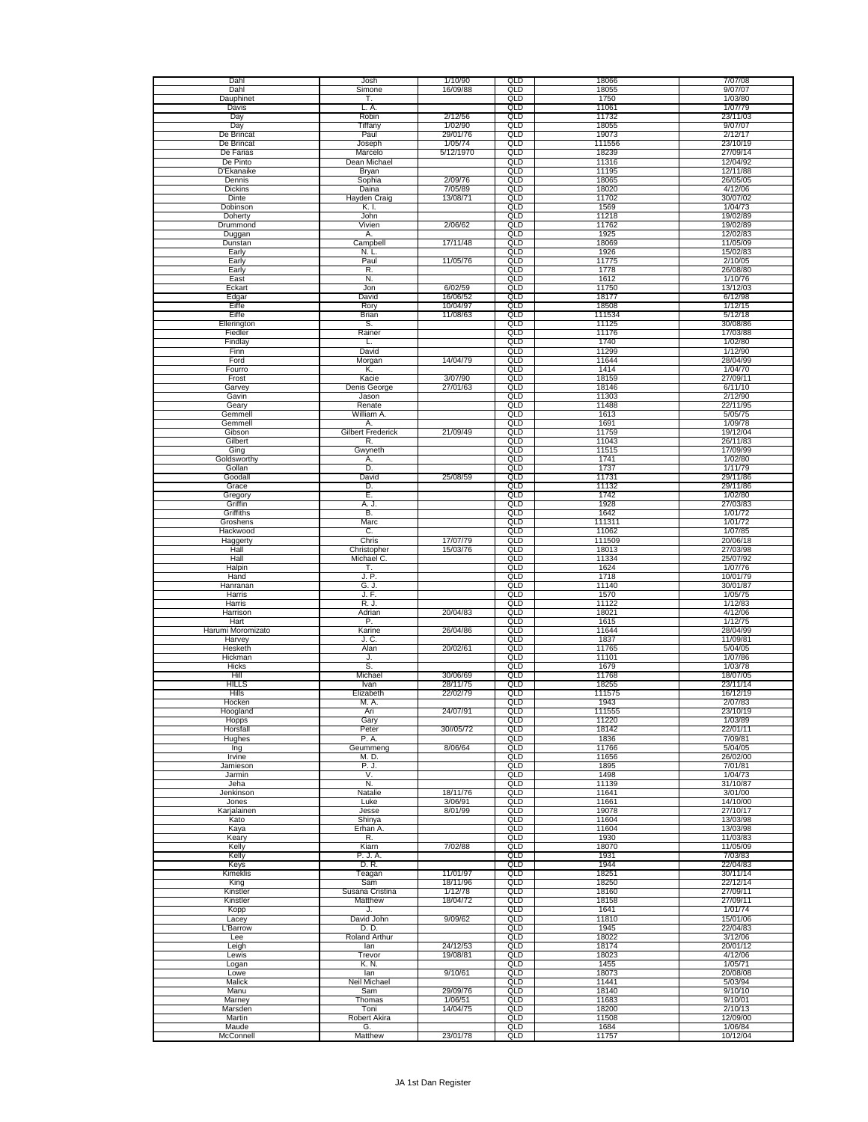|                   | Josh                     | 1/10/90   | QLD        | 18066  | 7/07/08  |
|-------------------|--------------------------|-----------|------------|--------|----------|
| Dahl              |                          |           |            |        |          |
| Dahl              | Simone                   | 16/09/88  | QLD        | 18055  | 9/07/07  |
| Dauphinet         | Ι.                       |           | QLD        | 1750   | 1/03/80  |
| Davis             | L. A.                    |           | QLD        | 11061  | 1/07/79  |
| Day               | Robin                    | 2/12/56   | QLD        | 11732  | 23/11/03 |
| Day               | Tiffany                  | 1/02/90   | QLD        | 18055  | 9/07/07  |
| De Brincat        | Paul                     | 29/01/76  | QLD        | 19073  | 2/12/17  |
| De Brincat        | Joseph                   | 1/05/74   | QLD        | 111556 | 23/10/19 |
| De Farias         | Marcelo                  | 5/12/1970 | QLD        | 18239  | 27/09/14 |
| De Pinto          | Dean Michael             |           | QLD        | 11316  | 12/04/92 |
|                   |                          |           |            |        |          |
| D'Ekanaike        | Bryan                    |           | QLD        | 11195  | 12/11/88 |
| Dennis            | Sophia                   | 2/09/76   | QLD        | 18065  | 26/05/05 |
| Dickins           | Daina                    | 7/05/89   | QLD        | 18020  | 4/12/06  |
| Dinte             | Hayden Craig             | 13/08/71  | QLD        | 11702  | 30/07/02 |
| Dobinson          | K. I.                    |           | QLD        | 1569   | 1/04/73  |
| Doherty           | John                     |           | QLD        | 11218  | 19/02/89 |
| Drummond          | Vivien                   | 2/06/62   | QLD        | 11762  | 19/02/89 |
| Duggan            | Α.                       |           | QLD        | 1925   | 12/02/83 |
| Dunstan           | Campbell                 | 17/11/48  | QLD        | 18069  | 11/05/09 |
| Early             | N. L.                    |           | QLD        | 1926   | 15/02/83 |
| Early             | Paul                     | 11/05/76  | QLD        | 11775  | 2/10/05  |
| Early             | R.                       |           | QLD        | 1778   | 26/08/80 |
|                   | N.                       |           | QLD        | 1612   | 1/10/76  |
| East              |                          |           |            |        |          |
| Eckart            | Jon                      | 6/02/59   | QLD        | 11750  | 13/12/03 |
| Edgar             | David                    | 16/06/52  | QLD        | 18177  | 6/12/98  |
| Eiffe             | Rory                     | 10/04/97  | QLD        | 18508  | 1/12/15  |
| Eiffe             | <b>Brian</b>             | 11/08/63  | QLD        | 111534 | 5/12/18  |
| Ellerington       | S.                       |           | QLD        | 11125  | 30/08/86 |
| Fiedler           | Rainer                   |           | QLD        | 11176  | 17/03/88 |
| Findlay           | L.                       |           | QLD        | 1740   | 1/02/80  |
| Finn              | David                    |           | QLD        | 11299  | 1/12/90  |
| Ford              | Morgan                   | 14/04/79  | QLD        | 11644  | 28/04/99 |
| Fourro            | Κ.                       |           | QLD        | 1414   | 1/04/70  |
| Frost             | Kacie                    | 3/07/90   | QLD        | 18159  | 27/09/11 |
| Garvey            |                          |           | QLD        | 18146  |          |
|                   | Denis George             | 27/01/63  |            |        | 6/11/10  |
| Gavin             | Jason                    |           | QLD        | 11303  | 2/12/90  |
| Geary             | Renate                   |           | QLD        | 11488  | 22/11/95 |
| Gemmell           | William A                |           | QLD        | 1613   | 5/05/75  |
| Gemmell           | A.                       |           | QLD        | 1691   | 1/09/78  |
| Gibson            | <b>Gilbert Frederick</b> | 21/09/49  | QLD        | 11759  | 19/12/04 |
| Gilbert           | R.                       |           | QLD        | 11043  | 26/11/83 |
| Ging              | Gwyneth                  |           | QLD        | 11515  | 17/09/99 |
| Goldsworthy       | Α.                       |           | QLD        | 1741   | 1/02/80  |
| Gollan            | D.                       |           | QLD        | 1737   | 1/11/79  |
| Goodall           | David                    | 25/08/59  | QLD        | 11731  | 29/11/86 |
| Grace             | D.                       |           | QLD        | 11132  | 29/11/86 |
|                   | Ε.                       |           | QLD        | 1742   | 1/02/80  |
| Gregory           |                          |           |            |        |          |
| Griffin           | A. J.                    |           | QLD        | 1928   | 27/03/83 |
| Griffiths         | B.                       |           | QLD        | 1642   | 1/01/72  |
| Groshens          | Marc                     |           | QLD        | 111311 | 1/01/72  |
| Hackwood          | C.                       |           | QLD        | 11062  | 1/07/85  |
| Haggerty          | Chris                    | 17/07/79  | QLD        | 111509 | 20/06/18 |
| Hall              | Christopher              | 15/03/76  | QLD        | 18013  | 27/03/98 |
| Hall              | Michael C.               |           | QLD        | 11334  | 25/07/92 |
|                   |                          |           |            |        |          |
|                   |                          |           |            |        |          |
| Halpin            | Т.                       |           | QLD        | 1624   | 1/07/76  |
| Hand              | J. P.                    |           | QLD        | 1718   | 10/01/79 |
| Hanranan          | G. J.                    |           | QLD        | 11140  | 30/01/87 |
| <b>Harris</b>     | J. F.                    |           | QLD        | 1570   | 1/05/75  |
| Harris            | R. J.                    |           | QLD        | 11122  | 1/12/83  |
| Harrison          | Adrian                   | 20/04/83  | QLD        | 18021  | 4/12/06  |
| Hart              | P.                       |           | QLD        | 1615   | 1/12/75  |
| Harumi Moromizato | Karine                   | 26/04/86  | QLD        | 11644  | 28/04/99 |
| Harvey            | J. C.                    |           | QLD        | 1837   | 11/09/81 |
| Hesketh           | Alan                     | 20/02/61  | QLD        | 11765  | 5/04/05  |
| Hickman           | J.                       |           | QLD        | 11101  | 1/07/86  |
| Hicks             | S.                       |           | QLD        | 1679   | 1/03/78  |
| Hill              | Michael                  | 30/06/69  | QLD        | 11768  | 18/07/05 |
| HILLS             | Ivan                     | 28/11/75  | QLD        | 18255  | 23/11/14 |
| Hills             | Elizabeth                | 22/02/79  | QLD        | 111575 | 16/12/19 |
|                   |                          |           |            |        |          |
| Hocken            | M. A.                    |           | QLD        | 1943   | 2/07/83  |
| Hoogland          | Ari                      | 24/07/91  | QLD        | 111555 | 23/10/19 |
| Hopps             | Gary                     |           | QLD        | 11220  | 1/03/89  |
| Horsfall          | Peter                    | 30//05/72 | QLD        | 18142  | 22/01/11 |
| Hughes            | P. A.                    |           | QLD        | 1836   | 7/09/81  |
| Ing               | Geummeng                 | 8/06/64   | QLD        | 11766  | 5/04/05  |
| Irvine            | M. D.                    |           | QLD        | 11656  | 26/02/00 |
| Jamieson          | P. J.                    |           | QLD        | 1895   | 7/01/81  |
| Jarmin            | V.                       |           | QLD        | 1498   | 1/04/73  |
| Jeha              | N.                       |           | QLD        | 11139  | 31/10/87 |
| Jenkinson         | Natalie                  | 18/11/76  | QLD        | 11641  | 3/01/00  |
| Jones             | Luke                     | 3/06/91   | QLD        | 11661  | 14/10/00 |
| Karjalainen       | Jesse                    | 8/01/99   | QLD        | 19078  | 27/10/17 |
| Kato              | Shinya                   |           | QLD        | 11604  | 13/03/98 |
| Kaya              | Erhan A.                 |           | QLD        | 11604  | 13/03/98 |
| Keary             | R.                       |           | QLD        | 1930   | 11/03/83 |
| Kelly             | Kiarn                    | 7/02/88   | QLD        | 18070  | 11/05/09 |
| Kelly             | P. J. A.                 |           | QLD        | 1931   | 7/03/83  |
|                   |                          |           | QLD        | 1944   |          |
| Keys              | D. R.                    |           |            |        | 22/04/83 |
| Kimeklis          | Teagan                   | 11/01/97  | QLD        | 18251  | 30/11/14 |
| King              | Sam                      | 18/11/96  | QLD        | 18250  | 22/12/14 |
| Kinstler          | Susana Cristina          | 1/12/78   | <b>QLD</b> | 18160  | 27/09/11 |
| Kinstler          | Matthew                  | 18/04/72  | QLD        | 18158  | 27/09/11 |
| Kopp              | J.                       |           | QLD        | 1641   | 1/01/74  |
| Lacey             | David John               | 9/09/62   | QLD        | 11810  | 15/01/06 |
| L'Barrow          | D. D.                    |           | QLD        | 1945   | 22/04/83 |
| Lee               | Roland Arthur            |           | QLD        | 18022  | 3/12/06  |
| Leigh             | lan                      | 24/12/53  | QLD        | 18174  | 20/01/12 |
| Lewis             | Trevor                   | 19/08/81  | QLD        | 18023  | 4/12/06  |
| Logan             | K. N.                    |           | QLD        | 1455   | 1/05/71  |
| Lowe              | lan                      | 9/10/61   | QLD        | 18073  | 20/08/08 |
| Malick            | Neil Michael             |           | QLD        | 11441  | 5/03/94  |
| Manu              | Sam                      | 29/09/76  | QLD        | 18140  | 9/10/10  |
| Marney            | Thomas                   | 1/06/51   | QLD        | 11683  | 9/10/01  |
| Marsden           | Toni                     | 14/04/75  | QLD        | 18200  | 2/10/13  |
| Martin            | <b>Robert Akira</b>      |           | QLD        | 11508  | 12/09/00 |
| Maude             | G.                       |           | QLD        | 1684   | 1/06/84  |
| McConnell         | Matthew                  | 23/01/78  | QLD        | 11757  | 10/12/04 |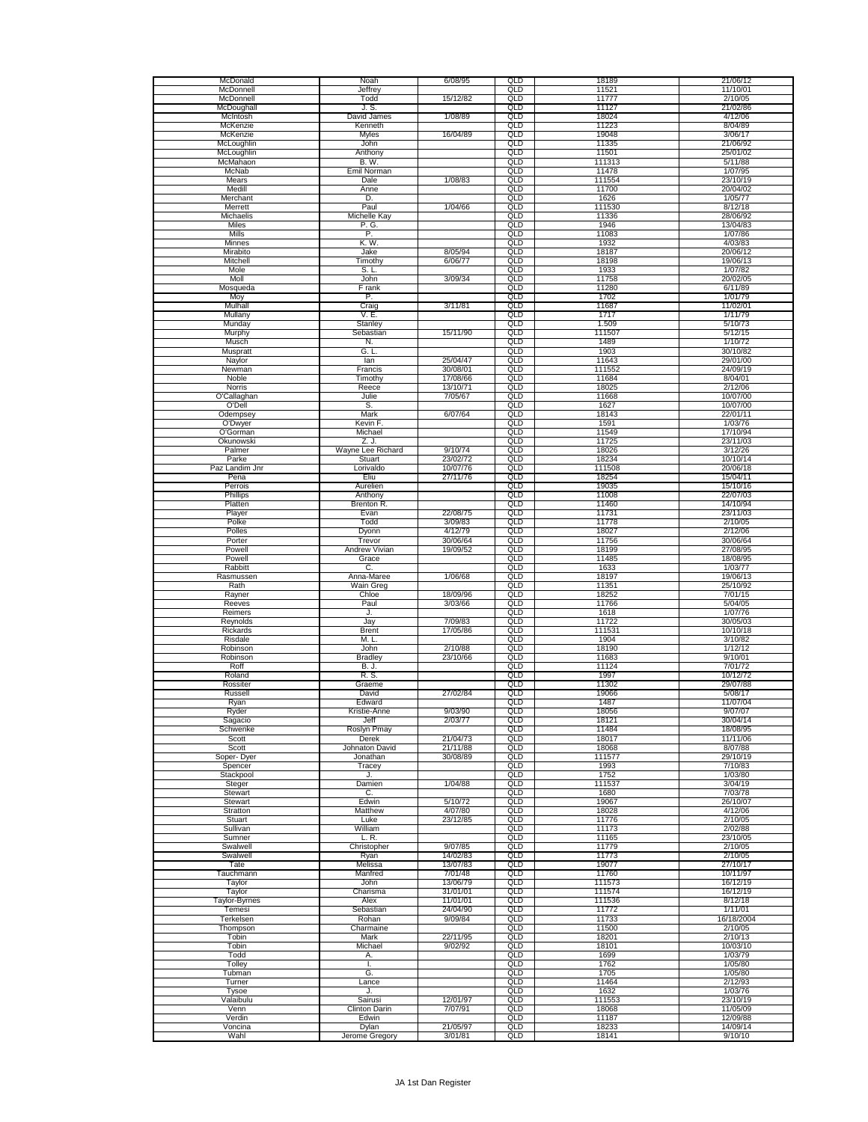| McDonald       | Noah                 | 6/08/95  | QLD        | 18189  | 21/06/12   |
|----------------|----------------------|----------|------------|--------|------------|
| McDonnell      | Jeffrey              |          | QLD        | 11521  | 11/10/01   |
| McDonnell      | Todd                 | 15/12/82 | QLD        | 11777  | 2/10/05    |
| McDoughall     | J. S.                |          | QLD        | 11127  | 21/02/86   |
| McIntosh       | David James          | 1/08/89  | QLD        | 18024  | 4/12/06    |
| McKenzie       | Kenneth              |          | QLD        | 11223  | 8/04/89    |
| McKenzie       | Myles                | 16/04/89 | QLD        | 19048  | 3/06/17    |
| McLoughlin     | John                 |          | QLD        | 11335  | 21/06/92   |
| McLoughlin     | Anthony              |          | QLD        | 11501  | 25/01/02   |
| McMahaon       | <b>B.W.</b>          |          | <b>QLD</b> | 111313 | 5/11/88    |
| McNab          |                      |          | QLD        | 11478  | 1/07/95    |
|                | Emil Norman          |          |            |        |            |
| Mears          | Dale                 | 1/08/83  | QLD        | 111554 | 23/10/19   |
| Medill         | Anne                 |          | QLD        | 11700  | 20/04/02   |
| Merchant       | D.                   |          | QLD        | 1626   | 1/05/77    |
| Merrett        | Paul                 | 1/04/66  | QLD        | 111530 | 8/12/18    |
| Michaelis      | <b>Michelle Kay</b>  |          | QLD        | 11336  | 28/06/92   |
| Miles          | P. G.                |          | QLD        | 1946   | 13/04/83   |
| Mills          | P.                   |          | QLD        | 11083  | 1/07/86    |
| Minnes         | K. W.                |          | QLD        | 1932   | 4/03/83    |
| Mirabito       | Jake                 | 8/05/94  | QLD        | 18187  | 20/06/12   |
| Mitchell       | Timothy              | 6/06/77  | QLD        | 18198  | 19/06/13   |
| Mole           | S. L.                |          | QLD        | 1933   | 1/07/82    |
| Moll           | John                 | 3/09/34  | QLD        | 11758  | 20/02/05   |
| Mosqueda       | F rank               |          | QLD        | 11280  | 6/11/89    |
| Moy            | P.                   |          | QLD        | 1702   | 1/01/79    |
| Mulhall        | Craig                | 3/11/81  | QLD        | 11687  | 11/02/01   |
| Mullany        | V. E.                |          | QLD        | 1717   | 1/11/79    |
| Munday         | Stanley              |          | QLD        | 1.509  | 5/10/73    |
| Murphy         | Sebastian            | 15/11/90 | QLD        | 111507 | 5/12/15    |
| Musch          | N.                   |          | QLD        | 1489   | 1/10/72    |
| Muspratt       | G. L                 |          | QLD        | 1903   | 30/10/82   |
| Naylor         | lan                  | 25/04/47 | QLD        | 11643  | 29/01/00   |
| Newman         | Francis              | 30/08/01 | QLD        | 111552 | 24/09/19   |
| Noble          | Timothy              | 17/08/66 | QLD        | 11684  | 8/04/01    |
| Norris         | Reece                | 13/10/71 | QLD        | 18025  | 2/12/06    |
|                | Julie                |          | QLD        | 11668  | 10/07/00   |
| O'Callaghan    |                      | 7/05/67  |            |        |            |
| O'Dell         | S.                   |          | QLD        | 1627   | 10/07/00   |
| Odempsey       | Mark                 | 6/07/64  | QLD        | 18143  | 22/01/11   |
| O'Dwyer        | Kevin F.             |          | QLD        | 1591   | 1/03/76    |
| O'Gorman       | Michael              |          | QLD        | 11549  | 17/10/94   |
| Okunowski      | Z. J.                |          | QLD        | 11725  | 23/11/03   |
| Palmer         | Wayne Lee Richard    | 9/10/74  | QLD        | 18026  | 3/12/26    |
| Parke          | Stuart               | 23/02/72 | QLD        | 18234  | 10/10/14   |
| Paz Landim Jnr | Lorivaldo            | 10/07/76 | QLD        | 111508 | 20/06/18   |
| Pena           | Eliu                 | 27/11/76 | QLD        | 18254  | 15/04/11   |
| Perrois        | Aurelien             |          | QLD        | 19035  | 15/10/16   |
| Phillips       | Anthony              |          | QLD        | 11008  | 22/07/03   |
| Platten        | <b>Brenton R</b>     |          | QLD        | 11460  | 14/10/94   |
| Player         | Evan                 | 22/08/75 | QLD        | 11731  | 23/11/03   |
| Polke          | Todd                 | 3/09/83  | QLD        | 11778  | 2/10/05    |
| Polles         | Dyonn                | 4/12/79  | QLD        | 18027  | 2/12/06    |
| Porter         | Trevor               | 30/06/64 | QLD        | 11756  | 30/06/64   |
| Powell         | Andrew Vivian        | 19/09/52 | QLD        | 18199  | 27/08/95   |
| Powell         | Grace                |          | QLD        | 11485  | 18/08/95   |
|                |                      |          |            |        |            |
| Rabbitt        | C.                   |          | QLD        | 1633   | 1/03/77    |
| Rasmussen      | Anna-Maree           | 1/06/68  | QLD        | 18197  | 19/06/13   |
| Rath           | Wain Greg            |          | QLD        | 11351  | 25/10/92   |
| Rayner         | Chloe                | 18/09/96 | QLD        | 18252  | 7/01/15    |
| Reeves         | Paul                 | 3/03/66  | QLD        | 11766  | 5/04/05    |
| Reimers        | J.                   |          | QLD        | 1618   | 1/07/76    |
| Revnolds       | Jay                  | 7/09/83  | QLD        | 11722  | 30/05/03   |
| Rickards       | <b>Brent</b>         | 17/05/86 | QLD        | 111531 | 10/10/18   |
| Risdale        | M. L.                |          | QLD        | 1904   | 3/10/82    |
| Robinson       | John                 | 2/10/88  | QLD        | 18190  | 1/12/12    |
| Robinson       | Bradley              | 23/10/66 | QLD        | 11683  | 9/10/01    |
| Roff           | B. J.                |          | QLD        | 11124  | 7/01/72    |
| Roland         | R. S.                |          | QLD        | 1997   | 10/12/72   |
| Rossiter       | Graeme               |          | QLD        | 11302  | 29/07/88   |
| Russell        | David                | 27/02/84 | QLD        | 19066  | 5/08/17    |
| Ryan           | Edward               |          | QLD        | 1487   | 11/07/04   |
| Ryder          | Kristie-Anne         | 9/03/90  | QLD        | 18056  | 9/07/07    |
| Sagacio        | Jeff                 | 2/03/77  | QLD        | 18121  | 30/04/14   |
| Schwenke       | <b>Roslyn Pmay</b>   |          | QLD        | 11484  | 18/08/95   |
| Scott          | Derek                | 21/04/73 | <b>QLD</b> | 18017  | 11/11/06   |
| Scott          | Johnaton David       | 21/11/88 | QLD        | 18068  | 8/07/88    |
| Soper- Dyer    | Jonathan             | 30/08/89 | QLD        | 111577 | 29/10/19   |
| Spencer        | Tracey               |          | QLD        | 1993   | 7/10/83    |
| Stackpool      | J.                   |          | QLD        | 1752   | 1/03/80    |
| Steger         | Damien               | 1/04/88  | QLD        | 111537 | 3/04/19    |
| Stewart        | С.                   |          | QLD        | 1680   | 7/03/78    |
| Stewart        | Edwin                | 5/10/72  | QLD        | 19067  | 26/10/07   |
| Stratton       | Matthew              | 4/07/80  | QLD        | 18028  | 4/12/06    |
| Stuart         | Luke                 | 23/12/85 | QLD        | 11776  | 2/10/05    |
| Sullivan       | William              |          | QLD        | 11173  | 2/02/88    |
| Sumner         | L. R.                |          | QLD        | 11165  | 23/10/05   |
| Swalwell       |                      | 9/07/85  | QLD        | 11779  | 2/10/05    |
|                | Christopher          |          | QLD        |        |            |
| Swalwell       | Ryan                 | 14/02/83 |            | 11773  | 2/10/05    |
| Tate           | Melissa              | 13/07/83 | QLD        | 19077  | 27/10/17   |
| Tauchmann      | Manfred              | 7/01/48  | QLD        | 11760  | 10/11/97   |
| Taylor         | John                 | 13/06/79 | QLD        | 111573 | 16/12/19   |
| Taylor         | Charisma             | 31/01/01 | QLD        | 111574 | 16/12/19   |
| Taylor-Byrnes  | Alex                 | 11/01/01 | <b>QLD</b> | 111536 | 8/12/18    |
| Temesi         | Sebastian            | 24/04/90 | <b>QLD</b> | 11772  | 1/11/01    |
| Terkelsen      | Rohan                | 9/09/84  | QLD        | 11733  | 16/18/2004 |
| Thompson       | Charmaine            |          | QLD        | 11500  | 2/10/05    |
| Tobin          | Mark                 | 22/11/95 | <b>QLD</b> | 18201  | 2/10/13    |
| Tobin          | Michael              | 9/02/92  | QLD        | 18101  | 10/03/10   |
| Todd           | Α.                   |          | QLD        | 1699   | 1/03/79    |
| Tolley         | Ι.                   |          | <b>QLD</b> | 1762   | 1/05/80    |
| Tubman         | G.                   |          | QLD        | 1705   | 1/05/80    |
| Turner         | Lance                |          | QLD        | 11464  | 2/12/93    |
| Tysoe          | J.                   |          | QLD        | 1632   | 1/03/76    |
| Valaibulu      | Sairusi              | 12/01/97 | QLD        | 111553 | 23/10/19   |
| Venn           | <b>Clinton Darin</b> | 7/07/91  | QLD        | 18068  | 11/05/09   |
| Verdin         | Edwin                |          | QLD        | 11187  | 12/09/88   |
| Voncina        | Dylan                | 21/05/97 | QLD        | 18233  | 14/09/14   |
| Wahl           | Jerome Gregory       | 3/01/81  | <b>QLD</b> | 18141  | 9/10/10    |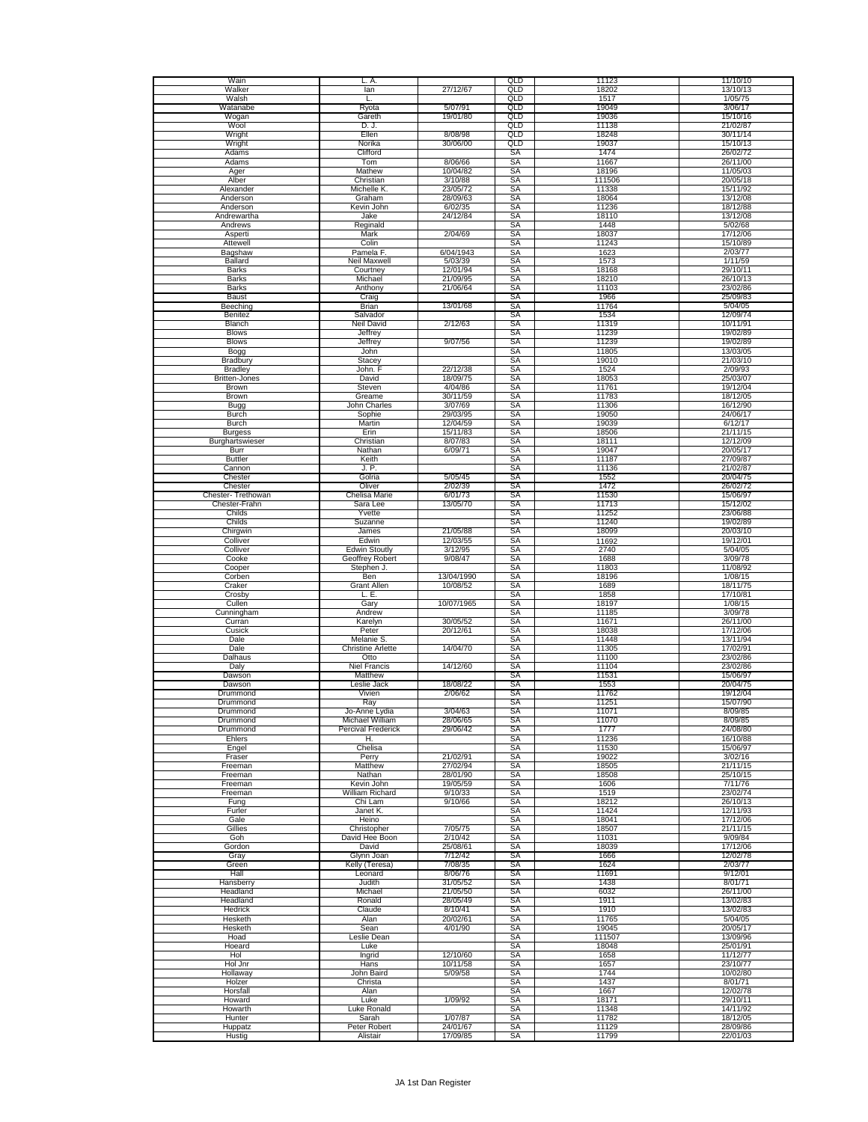| Wain                               | L. A.                                |                      | QLD                    | 11123          | 11/10/10             |
|------------------------------------|--------------------------------------|----------------------|------------------------|----------------|----------------------|
| Walker                             | lan                                  | 27/12/67             | QLD                    | 18202          | 13/10/13             |
| Walsh                              | L.                                   |                      | QLD                    | 1517           | 1/05/75              |
| Watanabe                           | Ryota                                | 5/07/91              | QLD                    | 19049          | 3/06/17              |
| Wogan                              | Gareth                               | 19/01/80             | QLD                    | 19036          | 15/10/16             |
| Wool                               | D. J.                                |                      | QLD                    | 11138          | 21/02/87             |
| Wright<br>Wright                   | Ellen<br>Norika                      | 8/08/98<br>30/06/00  | QLD<br>QLD             | 18248<br>19037 | 30/11/14<br>15/10/13 |
| Adams                              | Clifford                             |                      | SA                     | 1474           | 26/02/72             |
| Adams                              | Tom                                  | 8/06/66              | SA                     | 11667          | 26/11/00             |
| Ager                               | Mathew                               | 10/04/82             | SA                     | 18196          | 11/05/03             |
| Alber                              | Christian                            | 3/10/88              | SA                     | 111506         | 20/05/18             |
| Alexander                          | Michelle K                           | 23/05/72             | SA                     | 11338          | 15/11/92             |
| Anderson                           | Graham                               | 28/09/63             | SΑ                     | 18064          | 13/12/08             |
| Anderson<br>Andrewartha            | Kevin John<br>Jake                   | 6/02/35<br>24/12/84  | SA<br>SA               | 11236<br>18110 | 18/12/88<br>13/12/08 |
| Andrews                            | Reginald                             |                      | <b>SA</b>              | 1448           | 5/02/68              |
| Asperti                            | Mark                                 | 2/04/69              | SA                     | 18037          | 17/12/06             |
| Attewell                           | Colin                                |                      | SA                     | 11243          | 15/10/89             |
| Bagshaw                            | Pamela <sub>F</sub>                  | 6/04/1943            | SA                     | 1623           | 2/03/77              |
| Ballard                            | Neil Maxwell                         | 5/03/39              | SA                     | 1573           | 1/11/59              |
| <b>Barks</b>                       | Courtney                             | 12/01/94             | SA                     | 18168          | 29/10/11             |
| <b>Barks</b><br><b>Barks</b>       | Michael<br>Anthony                   | 21/09/95<br>21/06/64 | SA<br>SA               | 18210<br>11103 | 26/10/13<br>23/02/86 |
| <b>Baust</b>                       | Craig                                |                      | SA                     | 1966           | 25/09/83             |
| Beeching                           | Brian                                | 13/01/68             | SA                     | 11764          | 5/04/05              |
| Benitez                            | Salvador                             |                      | SA                     | 1534           | 12/09/74             |
| Blanch                             | <b>Neil David</b>                    | 2/12/63              | SA                     | 11319          | 10/11/91             |
| <b>Blows</b>                       | Jeffrey                              |                      | SA                     | 11239          | 19/02/89             |
| <b>Blows</b>                       | Jeffrey                              | 9/07/56              | SΑ                     | 11239          | 19/02/89             |
| <b>Bogg</b><br>Bradbury            | John<br>Stacey                       |                      | SA<br>SA               | 11805<br>19010 | 13/03/05<br>21/03/10 |
| Bradley                            | John. F                              | 22/12/38             | <b>SA</b>              | 1524           | 2/09/93              |
| <b>Britten-Jones</b>               | David                                | 18/09/75             | SA                     | 18053          | 25/03/07             |
| <b>Brown</b>                       | Steven                               | 4/04/86              | SA                     | 11761          | 19/12/04             |
| <b>Brown</b>                       | Greame                               | 30/11/59             | SA                     | 11783          | 18/12/05             |
| Bugg                               | <b>John Charles</b>                  | 3/07/69              | SA                     | 11306          | 16/12/90             |
| <b>Burch</b>                       | Sophie                               | 29/03/95             | SA                     | 19050          | 24/06/17             |
| <b>Burch</b><br><b>Burgess</b>     | Martin<br>Erin                       | 12/04/59<br>15/11/83 | SA<br><b>SA</b>        | 19039<br>18506 | 6/12/17<br>21/11/15  |
| Burghartswieser                    | Christian                            | 8/07/83              | <b>SA</b>              | 18111          | 12/12/09             |
| Burr                               | Nathan                               | 6/09/71              | <b>SA</b>              | 19047          | 20/05/17             |
| <b>Buttler</b>                     | Keith                                |                      | SA                     | 11187          | 27/09/87             |
| Cannon                             | J. P.                                |                      | SA                     | 11136          | 21/02/87             |
| Chester                            | Golria                               | 5/05/45              | SA                     | 1552           | 20/04/75             |
| Chester                            | Oliver                               | 2/02/39              | SA                     | 1472           | 26/02/72             |
| Chester-Trethowan<br>Chester-Frahn | Chelisa Marie<br>Sara Lee            | 6/01/73<br>13/05/70  | SA<br>SA               | 11530<br>11713 | 15/06/97<br>15/12/02 |
| Childs                             | Yvette                               |                      | SA                     | 11252          | 23/06/88             |
| Childs                             | Suzanne                              |                      | SA                     | 11240          | 19/02/89             |
| Chirgwin                           | James                                | 21/05/88             | SA                     | 18099          | 20/03/10             |
| Colliver                           | Edwin                                | 12/03/55             | SA                     | 11692          | 19/12/01             |
| Colliver                           | <b>Edwin Stoutly</b>                 | 3/12/95              | SA                     | 2740           | 5/04/05              |
| Cooke<br>Cooper                    | <b>Geoffrey Robert</b><br>Stephen J. | 9/08/47              | SA<br>SA               | 1688<br>11803  | 3/09/78<br>11/08/92  |
| Corben                             | Ben                                  | 13/04/1990           | SA                     | 18196          | 1/08/15              |
| Craker                             | <b>Grant Allen</b>                   | 10/08/52             | SA                     | 1689           | 18/11/75             |
| Crosby                             | L. E.                                |                      | SA                     | 1858           | 17/10/81             |
| Cullen                             | Gary                                 | 10/07/1965           | SA                     | 18197          | 1/08/15              |
| Cunningham                         | Andrew                               |                      | SA                     | 11185          | 3/09/78              |
| Curran                             | Karelyn                              | 30/05/52             | SΑ                     | 11671          | 26/11/00             |
| Cusick<br>Dale                     | Peter<br>Melanie S.                  | 20/12/61             | SA<br>SA               | 18038<br>11448 | 17/12/06<br>13/11/94 |
| Dale                               | <b>Christine Arlette</b>             | 14/04/70             | SA                     | 11305          | 17/02/91             |
| Dalhaus                            | Otto                                 |                      | SA                     | 11100          | 23/02/86             |
| Daly                               | <b>Niel Francis</b>                  | 14/12/60             | SA                     | 11104          | 23/02/86             |
| Dawson                             | Matthew                              |                      | <b>SA</b>              | 11531          | 15/06/97             |
| Dawson                             | Leslie Jack                          | 18/08/22             | SA                     | 1553           | 20/04/75             |
| Drummond<br>Drummond               | Vivien<br>Ray                        | 2/06/62              | SA<br>SA               | 11762<br>11251 | 19/12/04<br>15/07/90 |
| Drummond                           | Jo-Anne Lydia                        | 3/04/63              | SA                     | 11071          | 8/09/85              |
| Drummond                           | Michael William                      | 28/06/65             | SA                     | 11070          | 8/09/85              |
| Drummond                           | <b>Percival Frederick</b>            | 29/06/42             | SA                     | 1777           | 24/08/80             |
| Ehlers                             | Η.                                   |                      | SA                     | 11236          | 16/10/88             |
| Engel                              | Chelisa                              |                      | SA                     | 11530          | 15/06/97             |
| Fraser<br>Freeman                  | Perry<br>Matthew                     | 21/02/91<br>27/02/94 | SA<br>SA               | 19022<br>18505 | 3/02/16<br>21/11/15  |
| Freeman                            | Nathan                               | 28/01/90             | SA                     | 18508          | 25/10/15             |
| Freeman                            | Kevin John                           | 19/05/59             | SA                     | 1606           | 7/11/76              |
| Freeman                            | William Richard                      | 9/10/33              | SA                     | 1519           | 23/02/74             |
| Fung                               | Chi Lam                              | 9/10/66              | SA                     | 18212          | 26/10/13             |
| Furler                             | Janet K.                             |                      | SA                     | 11424          | 12/11/93             |
| Gale<br>Gillies                    | Heino<br>Christopher                 | 7/05/75              | SA<br>SA               | 18041<br>18507 | 17/12/06<br>21/11/15 |
| Goh                                | David Hee Boon                       | 2/10/42              | SA                     | 11031          | 9/09/84              |
| Gordon                             | David                                | 25/08/61             | SA                     | 18039          | 17/12/06             |
| Gray                               | Glynn Joan                           | 7/12/42              | SA                     | 1666           | 12/02/78             |
| Green                              | Kelly (Teresa)                       | 7/08/35              | SA                     | 1624           | 2/03/77              |
| Hall                               | Leonard                              | 8/06/76              | SA                     | 11691          | 9/12/01              |
| Hansberry                          | Judith                               | 31/05/52             | SA                     | 1438<br>6032   | 8/01/71<br>26/11/00  |
| Headland<br>Headland               | Michael<br>Ronald                    | 21/05/50<br>28/05/49 | <b>SA</b><br><b>SA</b> | 1911           | 13/02/83             |
| Hedrick                            | Claude                               | 8/10/41              | SA                     | 1910           | 13/02/83             |
| Hesketh                            | Alan                                 | 20/02/61             | <b>SA</b>              | 11765          | 5/04/05              |
| Hesketh                            | Sean                                 | 4/01/90              | SA                     | 19045          | 20/05/17             |
| Hoad                               | Leslie Dean                          |                      | <b>SA</b>              | 111507         | 13/09/96             |
| Hoeard                             | Luke                                 |                      | SA                     | 18048          | 25/01/91             |
| Hol<br>Hol Jnr                     | Ingrid<br>Hans                       | 12/10/60<br>10/11/58 | SA<br>SA               | 1658<br>1657   | 11/12/77<br>23/10/77 |
| Hollaway                           |                                      | 5/09/58              | SA                     | 1744           | 10/02/80             |
|                                    |                                      |                      | SA                     | 1437           | 8/01/71              |
|                                    | John Baird                           |                      |                        |                |                      |
| Holzer<br>Horsfall                 | Christa<br>Alan                      |                      | SA                     | 1667           | 12/02/78             |
| Howard                             | Luke                                 | 1/09/92              | SA                     | 18171          | 29/10/11             |
| Howarth                            | Luke Ronald                          |                      | SA                     | 11348          | 14/11/92             |
| Hunter                             | Sarah                                | 1/07/87              | SA                     | 11782          | 18/12/05             |
| Huppatz<br>Hustig                  | Peter Robert<br>Alistair             | 24/01/67<br>17/09/85 | SA<br>SA               | 11129<br>11799 | 28/09/86<br>22/01/03 |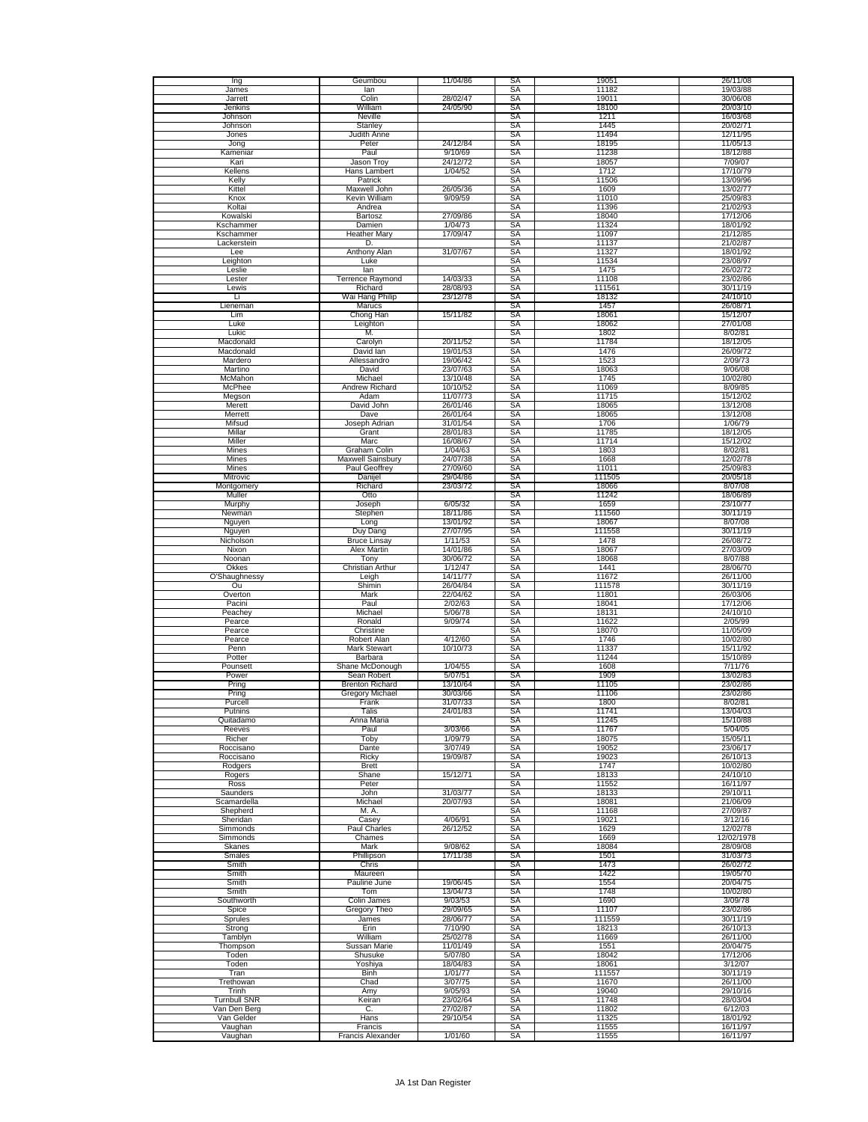| Ing<br>James         | Geumbou                             | 11/04/86             | SA              | 19051          | 26/11/08             |
|----------------------|-------------------------------------|----------------------|-----------------|----------------|----------------------|
|                      | lan                                 |                      | SA              | 11182          | 19/03/88             |
| Jarrett              | Colin                               | 28/02/47             | SA              | 19011          | 30/06/08             |
| Jenkins              | William                             | 24/05/90             | SA              | 18100          | 20/03/10             |
| Johnson              | Neville                             |                      | SA              | 1211           | 16/03/68             |
| Johnson              | Stanley                             |                      | SA              | 1445           | 20/02/71             |
| Jones                | Judith Anne                         |                      | SA              | 11494          | 12/11/95             |
| Jong                 | Peter                               | 24/12/84             | SA              | 18195          | 11/05/13             |
| Kameniar             | Paul                                | 9/10/69              | SA              | 11238          | 18/12/88             |
| Kari                 | <b>Jason Troy</b>                   | 24/12/72             | SA              | 18057          | 7/09/07              |
| Kellens              | Hans Lambert                        | 1/04/52              | SA              | 1712           | 17/10/79             |
| Kelly                | Patrick                             |                      | SA              | 11506          | 13/09/96             |
| Kittel<br>Knox       | Maxwell John<br>Kevin William       | 26/05/36<br>9/09/59  | <b>SA</b><br>SA | 1609<br>11010  | 13/02/77<br>25/09/83 |
| Koltai               | Andrea                              |                      | SA              | 11396          | 21/02/93             |
| Kowalski             | Bartosz                             | 27/09/86             | SA              | 18040          | 17/12/06             |
| Kschammer            | Damien                              | 1/04/73              | SA              | 11324          | 18/01/92             |
| Kschammer            | <b>Heather Mary</b>                 | 17/09/47             | SA              | 11097          | 21/12/85             |
| Lackerstein          | D.                                  |                      | SA              | 11137          | 21/02/87             |
| Lee                  | Anthony Alan                        | 31/07/67             | SA              | 11327          | 18/01/92             |
| Leighton             | Luke                                |                      | SA              | 11534          | 23/08/97             |
| Leslie               | lan                                 |                      | SA              | 1475           | 26/02/72             |
| Lester               | Terrence Raymond                    | 14/03/33             | SA              | 11108          | 23/02/86             |
| Lewis                | Richard                             | 28/08/93             | SΑ              | 111561         | 30/11/19             |
| Li                   | Wai Hang Philip                     | 23/12/78             | SA              | 18132          | 24/10/10             |
| Lieneman             | Marucs                              |                      | SA              | 1457           | 26/08/71             |
| Lim                  | Chong Han                           | 15/11/82             | SA              | 18061          | 15/12/07             |
| Luke<br>Lukic        | Leighton<br>M.                      |                      | SA<br>SA        | 18062<br>1802  | 27/01/08<br>8/02/81  |
| Macdonald            | Carolyn                             | 20/11/52             | SA              | 11784          | 18/12/05             |
| Macdonald            | David lan                           | 19/01/53             | SA              | 1476           | 26/09/72             |
| Mardero              | Allessandro                         | 19/06/42             | SA              | 1523           | 2/09/73              |
| Martino              | David                               | 23/07/63             | SA              | 18063          | 9/06/08              |
| McMahon              | Michael                             | 13/10/48             | SA              | 1745           | 10/02/80             |
| McPhee               | Andrew Richard                      | 10/10/52             | SA              | 11069          | 8/09/85              |
| Megson               | Adam                                | 11/07/73             | SA              | 11715          | 15/12/02             |
| Merett               | David John                          | 26/01/46             | SA              | 18065          | 13/12/08             |
| Merrett              | Dave                                | 26/01/64             | <b>SA</b>       | 18065          | 13/12/08             |
| Mifsud               | Joseph Adrian                       | 31/01/54             | SA              | 1706           | 1/06/79              |
| Millar               | Grant                               | 28/01/83             | SA              | 11785          | 18/12/05             |
| Miller               | Marc                                | 16/08/67             | SA              | 11714          | 15/12/02             |
| Mines                | Graham Colin                        | 1/04/63              | SA              | 1803           | 8/02/81              |
| Mines                | <b>Maxwell Sainsbury</b>            | 24/07/38             | SA              | 1668           | 12/02/78             |
| <b>Mines</b>         | Paul Geoffrey                       | 27/09/60             | SA              | 11011          | 25/09/83             |
| Mitrovic             | Danijel                             | 29/04/86             | SA              | 111505         | 20/05/18             |
| Montgomery           | Richard                             | 23/03/72             | SA<br>SA        | 18066<br>11242 | 8/07/08              |
| Muller               | Otto                                | 6/05/32              | SA              | 1659           | 18/06/89<br>23/10/77 |
| Murphy<br>Newman     | Joseph<br>Stephen                   | 18/11/86             | SΑ              | 111560         | 30/11/19             |
| Nguyen               | Long                                | 13/01/92             | SA              | 18067          | 8/07/08              |
| Nguyen               | Duy Dang                            | 27/07/95             | SA              | 111558         | 30/11/19             |
| Nicholson            | <b>Bruce Linsay</b>                 | 1/11/53              | SA              | 1478           | 26/08/72             |
| Nixon                | Alex Martin                         | 14/01/86             | SA              | 18067          | 27/03/09             |
| Noonan               | Tony                                | 30/06/72             | SΑ              | 18068          | 8/07/88              |
| <b>Okkes</b>         | Christian Arthur                    | 1/12/47              | SA              | 1441           | 28/06/70             |
| O'Shaughnessy        | Leigh                               | 14/11/77             | SA              | 11672          | 26/11/00             |
| Ou                   | Shimin                              | 26/04/84             | SA              | 111578         | 30/11/19             |
| Overton              | Mark                                | 22/04/62             | SA              | 11801          | 26/03/06             |
| Pacini               | Paul                                | 2/02/63              | SA              | 18041          | 17/12/06             |
| Peachey              | Michael                             | 5/06/78              | SA              | 18131          | 24/10/10             |
| Pearce               | Ronald                              | 9/09/74              | SA              | 11622          | 2/05/99              |
| Pearce               | Christine                           |                      | SA              | 18070          | 11/05/09             |
| Pearce               | Robert Alan                         | 4/12/60              | SA              | 1746           | 10/02/80             |
|                      |                                     |                      |                 |                |                      |
| Penn                 | <b>Mark Stewart</b>                 | 10/10/73             | SA              | 11337          | 15/11/92             |
| Potter               | Barbara                             |                      | SA              | 11244          | 15/10/89             |
| Pounsett             | Shane McDonough                     | 1/04/55              | SA              | 1608           | 7/11/76              |
| Power                | Sean Robert                         | 5/07/51              | SA              | 1909           | 13/02/83             |
| Pring                | <b>Brenton Richard</b>              | 13/10/64             | SΑ              | 11105<br>11106 | 23/02/86             |
| Pring                | <b>Gregory Michael</b>              | 30/03/66<br>31/07/33 | SA              | 1800           | 23/02/86             |
| Purcell<br>Putnins   | Frank<br>Talis                      | 24/01/83             | SA<br>SΑ        | 11741          | 8/02/81<br>13/04/03  |
| Quitadamo            | Anna Maria                          |                      | SA              | 11245          | 15/10/88             |
| Reeves               | Paul                                | 3/03/66              | SA              | 11767          | 5/04/05              |
| Richer               | Toby                                | 1/09/79              | SA              | 18075          | 15/05/11             |
| Roccisano            | Dante                               | 3/07/49              | SA              | 19052          | 23/06/17             |
| Roccisano            | Ricky                               | 19/09/87             | SA              | 19023          | 26/10/13             |
| Rodgers              | <b>Brett</b>                        |                      | SA              | 1747           | 10/02/80             |
| Rogers               | Shane                               | 15/12/71             | SA              | 18133          | 24/10/10             |
| Ross                 | Peter                               |                      | SA              | 11552          | 16/11/97             |
| Saunders             | John                                | 31/03/77             | SA              | 18133          | 29/10/11             |
| Scamardella          | Michael                             | 20/07/93             | SA              | 18081          | 21/06/09             |
| Shepherd<br>Sheridan | M. A.<br>Casey                      | 4/06/91              | SA<br>SΑ        | 11168<br>19021 | 27/09/87<br>3/12/16  |
| Simmonds             | Paul Charles                        | 26/12/52             | SA              | 1629           | 12/02/78             |
| Simmonds             | Chames                              |                      | SA              | 1669           | 12/02/1978           |
| Skanes               | Mark                                | 9/08/62              | SA              | 18084          | 28/09/08             |
| Smales               | Phillipson                          | 17/11/38             | SA              | 1501           | 31/03/73             |
| Smith                | Chris                               |                      | SA              | 1473           | 26/02/72             |
| Smith                | Maureen                             |                      | SA              | 1422           | 19/05/70             |
| Smith                | Pauline June                        | 19/06/45             | SA              | 1554           | 20/04/75             |
| Smith                | Tom                                 | 13/04/73             | SA              | 1748           | 10/02/80             |
| Southworth           | Colin James                         | 9/03/53              | SA              | 1690           | 3/09/78              |
| Spice                | Gregory Theo                        | 29/09/65             | SA              | 11107          | 23/02/86             |
| Sprules              | James                               | 28/06/77             | SA              | 111559         | 30/11/19             |
| Strong               | Erin                                | 7/10/90              | <b>SA</b>       | 18213          | 26/10/13             |
| Tamblyn              | William                             | 25/02/78             | SA              | 11669          | 26/11/00             |
| Thompson             | Sussan Marie                        | 11/01/49             | SA              | 1551           | 20/04/75             |
| Toden<br>Toden       | Shusuke<br>Yoshiya                  | 5/07/80<br>18/04/83  | SA<br>SA        | 18042<br>18061 | 17/12/06<br>3/12/07  |
| Tran                 | <b>Binh</b>                         | 1/01/77              | SA              | 111557         | 30/11/19             |
| Trethowan            | Chad                                | 3/07/75              | SA              | 11670          | 26/11/00             |
| Trinh                | Amy                                 | 9/05/93              | SA              | 19040          | 29/10/16             |
| Turnbull SNR         | Keiran                              | 23/02/64             | SA              | 11748          | 28/03/04             |
| Van Den Berg         | C.                                  | 27/02/87             | SA              | 11802          | 6/12/03              |
| Van Gelder           | Hans                                | 29/10/54             | SA              | 11325          | 18/01/92             |
| Vaughan<br>Vaughan   | Francis<br><b>Francis Alexander</b> | 1/01/60              | SA<br>SA        | 11555<br>11555 | 16/11/97<br>16/11/97 |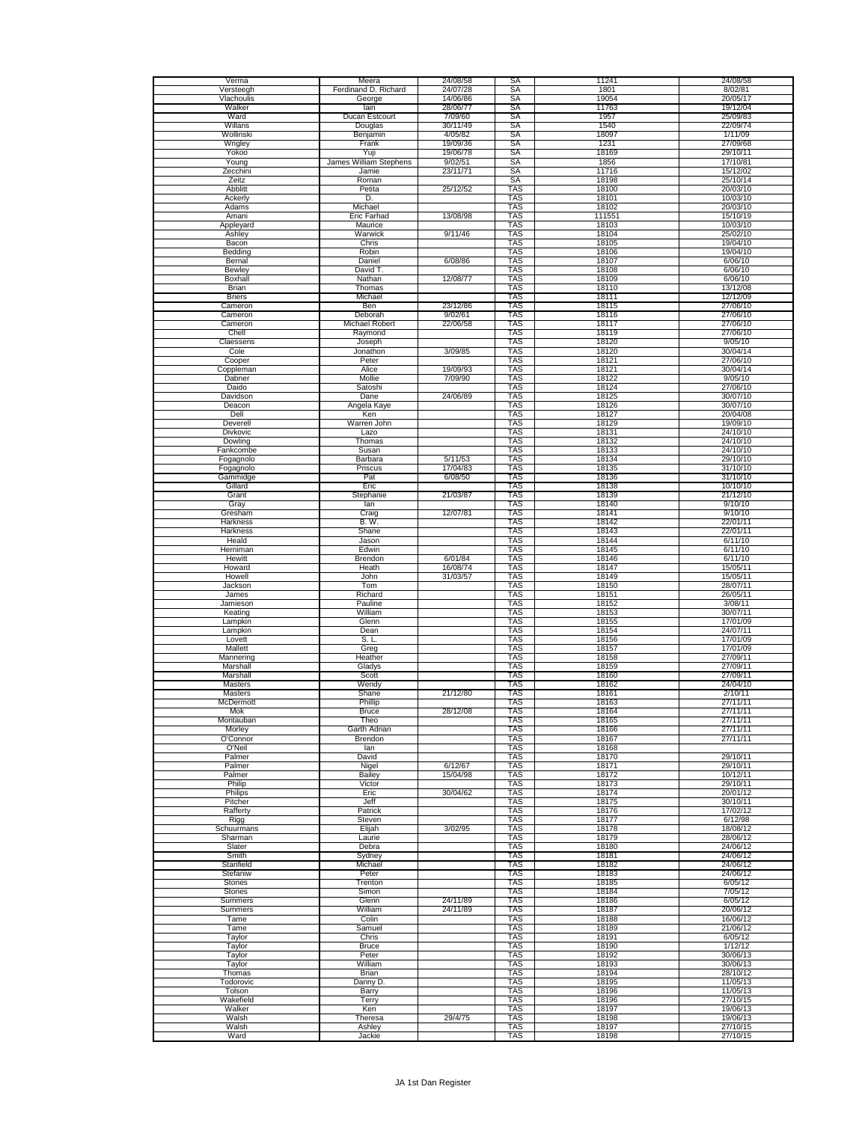| Verma         | Meera                  |          | SA         | 11241          |                      |
|---------------|------------------------|----------|------------|----------------|----------------------|
|               |                        | 24/08/58 |            |                | 24/08/58             |
| Versteegh     | Ferdinand D. Richard   | 24/07/28 | SA         | 1801           | 8/02/81              |
| Vlachoulis    | George                 | 14/06/86 | SA         | 19054          | 20/05/17             |
| Walker        | lain                   | 28/06/77 | SA         | 11763          | 19/12/04             |
| Ward          | Ducan Estcourt         | 7/09/60  | SA         | 1957           | 25/09/83             |
| Willans       | Douglas                | 30/11/49 | SA         | 1540           | 22/09/74             |
| Wollinski     | Benjamin               | 4/05/82  | SA         | 18097          | 1/11/09              |
| Wrigley       | Frank                  | 19/09/36 | SA         | 1231           | 27/09/68             |
| Yokoo         | Yuji                   | 19/06/78 | SA         | 18169          | 29/10/11             |
| Young         | James William Stephens | 9/02/51  | SA         | 1856           | 17/10/81             |
|               |                        |          |            |                |                      |
| Zecchini      | Jamie                  | 23/11/71 | <b>SA</b>  | 11716          | 15/12/02             |
| Zeitz         | Roman                  |          | <b>SA</b>  | 18198          | 25/10/14             |
| Abblitt       | Petita                 | 25/12/52 | TAS        | 18100          | 20/03/10             |
| Ackerly       | D.                     |          | <b>TAS</b> | 18101          | 10/03/10             |
| Adams         | Michael                |          | <b>TAS</b> | 18102          | 20/03/10             |
| Amani         | Eric Farhad            | 13/08/98 | <b>TAS</b> | 111551         | 15/10/19             |
| Appleyard     | Maurice                |          | <b>TAS</b> | 18103          | 10/03/10             |
| Ashley        | Warwick                | 9/11/46  | TAS        | 18104          | 25/02/10             |
| Bacon         | Chris                  |          | TAS        | 18105          | 19/04/10             |
| Bedding       | Robin                  |          | TAS        | 18106          | 19/04/10             |
|               |                        |          |            |                |                      |
| Bernal        | Daniel                 | 6/08/86  | TAS        | 18107          | 6/06/10              |
| Bewley        | David T.               |          | TAS        | 18108          | 6/06/10              |
| Boxhall       | Nathan                 | 12/08/77 | TAS        | 18109          | 6/06/10              |
| Brian         | Thomas                 |          | TAS        | 18110          | 13/12/08             |
| <b>Briers</b> | Michael                |          | TAS        | 18111          | 12/12/09             |
| Cameron       | Ben                    | 23/12/86 | TAS        | 18115          | 27/06/10             |
| Cameron       | Deborah                | 9/02/61  | TAS        | 18116          | 27/06/10             |
| Cameron       | <b>Michael Robert</b>  | 22/06/58 | TAS        | 18117          | 27/06/10             |
| Chell         | Raymond                |          | TAS        | 18119          | 27/06/10             |
| Claessens     | Joseph                 |          | TAS        | 18120          | 9/05/10              |
| Cole          | Jonathon               | 3/09/85  | TAS        | 18120          | 30/04/14             |
|               |                        |          |            |                |                      |
| Cooper        | Peter                  |          | TAS        | 18121          | 27/06/10             |
| Coppleman     | Alice                  | 19/09/93 | TAS        | 18121          | 30/04/14             |
| Dabner        | Mollie                 | 7/09/90  | TAS        | 18122          | 9/05/10              |
| Daido         | Satoshi                |          | TAS        | 18124          | 27/06/10             |
| Davidson      | Dane                   | 24/06/89 | TAS        | 18125          | 30/07/10             |
| Deacon        | Angela Kaye            |          | TAS        | 18126          | 30/07/10             |
| Dell          | Ken                    |          | TAS        | 18127          | 20/04/08             |
| Deverell      | Warren John            |          | <b>TAS</b> | 18129          | 19/09/10             |
| Divkovic      | Lazo                   |          | <b>TAS</b> | 18131          | 24/10/10             |
| Dowling       |                        |          | <b>TAS</b> | 18132          | 24/10/10             |
|               | Thomas                 |          |            |                |                      |
| Fankcombe     | Susan                  |          | TAS        | 18133          | 24/10/10             |
| Fogagnolo     | Barbara                | 5/11/53  | <b>TAS</b> | 18134          | 29/10/10             |
| Fogagnolo     | Priscus                | 17/04/83 | <b>TAS</b> | 18135          | 31/10/10             |
| Gammidge      | Pat                    | 6/08/50  | TAS        | 18136          | 31/10/10             |
| Gillard       | Eric                   |          | <b>TAS</b> | 18138          | 10/10/10             |
| Grant         | Stephanie              | 21/03/87 | TAS        | 18139          | 21/12/10             |
| Gray          | lan                    |          | TAS        | 18140          | 9/10/10              |
| Gresham       | Craig                  | 12/07/81 | TAS        | 18141          | 9/10/10              |
| Harkness      | <b>B.W.</b>            |          | TAS        | 18142          | 22/01/11             |
| Harkness      | Shane                  |          | TAS        | 18143          | 22/01/11             |
| Heald         | Jason                  |          | TAS        | 18144          | 6/11/10              |
|               |                        |          |            |                |                      |
| Herniman      | Edwin                  |          | TAS        | 18145          | 6/11/10              |
| Hewitt        | Brendon                | 6/01/84  | TAS        | 18146          | 6/11/10              |
| Howard        | Heath                  | 16/08/74 | TAS        | 18147          | 15/05/11             |
| Howell        | John                   | 31/03/57 | <b>TAS</b> | 18149          | 15/05/11             |
| Jackson       | Tom                    |          | TAS        | 18150          | 28/07/11             |
| James         | Richard                |          | TAS        | 18151          | 26/05/11             |
| Jamieson      | Pauline                |          | TAS        | 18152          | 3/08/11              |
| Keating       | William                |          | TAS        | 18153          | 30/07/11             |
| Lampkin       | Glenn                  |          | TAS        | 18155          | 17/01/09             |
| Lampkin       | Dean                   |          | TAS        | 18154          | 24/07/11             |
| Lovett        | S. L.                  |          | TAS        | 18156          | 17/01/09             |
| Mallett       | Greg                   |          | <b>TAS</b> | 18157          | 17/01/09             |
|               |                        |          |            |                |                      |
| Mannering     | Heather                |          | <b>TAS</b> | 18158          | 27/09/11             |
| Marshall      | Gladys                 |          | <b>TAS</b> | 18159          | 27/09/11             |
| Marshall      | Scott                  |          | <b>TAS</b> | 18160          | 27/09/11             |
| Masters       | Wendy                  |          | TAS        | 18162          | 24/04/10             |
| Masters       | Shane                  | 21/12/80 | <b>TAS</b> | 18161          | 2/10/11              |
| McDermott     | Phillip                |          | <b>TAS</b> | 18163          | 27/11/11             |
| Mok           | <b>Bruce</b>           | 28/12/08 | TAS        | 18164          | 27/11/11             |
| Montauban     | Theo                   |          | TAS        | 18165          | 27/11/11             |
| Morley        | Garth Adrian           |          | <b>TAS</b> | 18166          | 27/11/11             |
| O'Connor      | Brendon                |          | TAS        | 18167          | 27/11/11             |
| O'Neil        | lan                    |          | TAS        | 18168          |                      |
| Palmer        | David                  |          | TAS        | 18170          | 29/10/11             |
| Palmer        | Nigel                  | 6/12/67  | TAS        | 18171          | 29/10/11             |
| Palmer        | <b>Bailey</b>          | 15/04/98 | TAS        | 18172          | 10/12/11             |
| Philip        | Victor                 |          | TAS        | 18173          | 29/10/11             |
|               |                        | 30/04/62 | TAS        | 18174          | 20/01/12             |
| Philips       | Eric                   |          |            |                |                      |
| Pitcher       | Jeff                   |          | TAS        | 18175          | 30/10/11             |
| Rafferty      | Patrick                |          | TAS        | 18176          | 17/02/12             |
| Rigg          | Steven                 |          | TAS        | 18177          | 6/12/98              |
| Schuurmans    | Elijah                 | 3/02/95  | TAS        | 18178          | 18/08/12             |
| Sharman       | Laurie                 |          | TAS        | 18179          | 28/06/12             |
| Slater        | Debra                  |          | TAS        | 18180          | 24/06/12             |
| Smith         | Sydney                 |          | TAS        | 18181          | 24/06/12             |
| Stanfield     | Michael                |          | <b>TAS</b> | 18182          | 24/06/12             |
| Stefaniw      | Peter                  |          | TAS        | 18183          | 24/06/12             |
| Stones        | Trenton                |          | TAS        | 18185          | 6/05/12              |
| Stones        | Simon                  |          | <b>TAS</b> | 18184          | 7/05/12              |
| Summers       | Glenn                  | 24/11/89 | TAS        | 18186          | 6/05/12              |
| Summers       | William                | 24/11/89 | <b>TAS</b> | 18187          | 20/06/12             |
| Tame          | Colin                  |          | <b>TAS</b> | 18188          | 16/06/12             |
|               |                        |          | <b>TAS</b> | 18189          | 21/06/12             |
| Tame          | Samuel                 |          |            |                |                      |
| Taylor        | Chris                  |          | TAS        | 18191          | 6/05/12              |
| Taylor        | Bruce                  |          | <b>TAS</b> | 18190          | 1/12/12              |
| Taylor        | Peter                  |          | <b>TAS</b> | 18192          | 30/06/13             |
| Taylor        | William                |          | TAS        | 18193          | 30/06/13             |
| Thomas        | <b>Brian</b>           |          | TAS        | 18194          | 28/10/12             |
| Todorovic     |                        |          | TAS        | 18195          | 11/05/13             |
| Tolson        | Danny D.               |          |            |                |                      |
|               | Barry                  |          | TAS        | 18196          | 11/05/13             |
| Wakefield     | Terry                  |          | TAS        | 18196          | 27/10/15             |
| Walker        | Ken                    |          | TAS        | 18197          | 19/06/13             |
|               |                        |          | TAS        |                |                      |
| Walsh         | Theresa                | 29/4/75  |            | 18198          | 19/06/13             |
| Walsh<br>Ward | Ashley<br>Jackie       |          | TAS<br>TAS | 18197<br>18198 | 27/10/15<br>27/10/15 |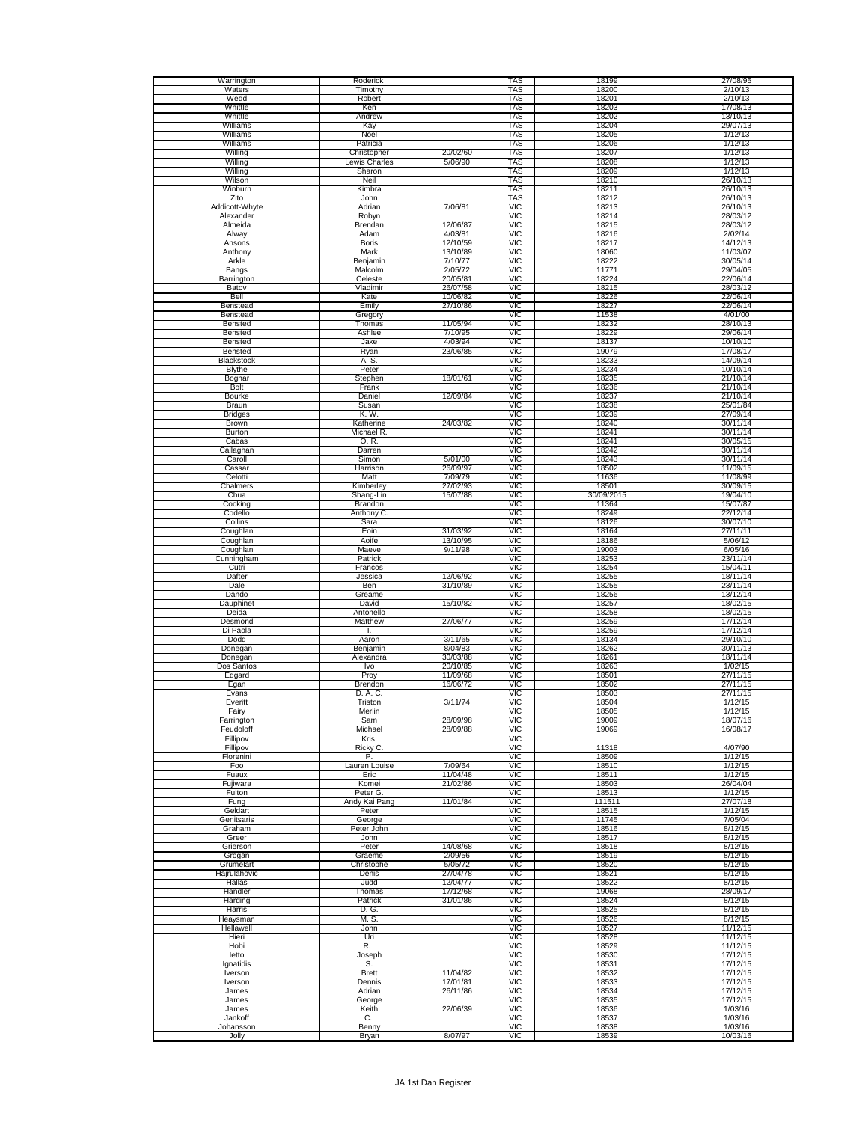| Warrington         |                       |          |                   |                |                     |
|--------------------|-----------------------|----------|-------------------|----------------|---------------------|
|                    | Roderick              |          | TAS               | 18199          | 27/08/95            |
| Waters             | Timothy               |          | TAS               | 18200          | 2/10/13             |
| Wedd               | Robert                |          | TAS               | 18201          | 2/10/13             |
| Whittle            | Ken                   |          | TAS               | 18203          | 17/08/13            |
| Whittle            | Andrew                |          | TAS               | 18202          | 13/10/13            |
| Williams           | Kay                   |          | TAS               | 18204          | 29/07/13            |
| Williams           | Noel                  |          | TAS               | 18205          | 1/12/13             |
| Williams           | Patricia              |          | TAS               | 18206          | 1/12/13             |
| Willing            | Christopher           | 20/02/60 | TAS               | 18207          | 1/12/13             |
| Willing            | Lewis Charles         | 5/06/90  | TAS               | 18208          | 1/12/13             |
|                    |                       |          | <b>TAS</b>        | 18209          | 1/12/13             |
| Willing            | Sharon                |          |                   |                |                     |
| Wilson             | Neil                  |          | <b>TAS</b>        | 18210          | 26/10/13            |
| Winburn            | Kimbra                |          | <b>TAS</b>        | 18211          | 26/10/13            |
| Zito               | John                  |          | TAS               | 18212          | 26/10/13            |
| Addicott-Whyte     | Adrian                | 7/06/81  | <b>VIC</b>        | 18213          | 26/10/13            |
| Alexander          | Robyn                 |          | VIC               | 18214          | 28/03/12            |
| Almeida            | Brendan               | 12/06/87 | VIC               | 18215          | 28/03/12            |
| Alway              | Adam                  | 4/03/81  | VIC               | 18216          | 2/02/14             |
| Ansons             | <b>Boris</b>          | 12/10/59 | VIC               | 18217          | 14/12/13            |
| Anthony            | Mark                  | 13/10/89 | VIC               | 18060          | 11/03/07            |
| Arkle              | Benjamin              | 7/10/77  | VIC               | 18222          | 30/05/14            |
| Bangs              | Malcolm               | 2/05/72  | VIC               | 11771          | 29/04/05            |
| Barrington         | Celeste               | 20/05/81 | <b>VIC</b>        | 18224          | 22/06/14            |
| Batov              | Vladimir              | 26/07/58 | VIC               | 18215          | 28/03/12            |
| Bell               | Kate                  | 10/06/82 | VIC               | 18226          | 22/06/14            |
|                    |                       |          | <b>VIC</b>        |                |                     |
| Benstead           | Emily                 | 27/10/86 |                   | 18227          | 22/06/14            |
| Benstead           | Gregory               |          | VIC               | 11538          | 4/01/00             |
| Bensted            | Thomas                | 11/05/94 | VIC               | 18232          | 28/10/13            |
| Bensted            | Ashlee                | 7/10/95  | VIC               | 18229          | 29/06/14            |
| Bensted            | Jake                  | 4/03/94  | VIC               | 18137          | 10/10/10            |
| Bensted            | Ryan                  | 23/06/85 | ViC               | 19079          | 17/08/17            |
| Blackstock         | A. S.                 |          | VIC               | 18233          | 14/09/14            |
| Blythe             | Peter                 |          | VIC               | 18234          | 10/10/14            |
| Bognar             | Stephen               | 18/01/61 | VIC               | 18235          | 21/10/14            |
| <b>Bolt</b>        | Frank                 |          | VIC               | 18236          | 21/10/14            |
| Bourke             | Daniel                | 12/09/84 | VIC               | 18237          | 21/10/14            |
| Braun              | Susan                 |          | VIC               | 18238          | 25/01/84            |
| <b>Bridges</b>     | K. W.                 |          | VIC               | 18239          | 27/09/14            |
| Brown              | Katherine             | 24/03/82 | VIC               | 18240          | 30/11/14            |
| Burton             | Michael R.            |          | <b>VIC</b>        | 18241          | 30/11/14            |
| Cabas              | O. R.                 |          | VIC               | 18241          | 30/05/15            |
| Callaghan          | Darren                |          | <b>VIC</b>        | 18242          | 30/11/14            |
| Caroll             | Simon                 | 5/01/00  | <b>VIC</b>        | 18243          | 30/11/14            |
| Cassar             | Harrison              | 26/09/97 | VIC               | 18502          | 11/09/15            |
| Celotti            | Matt                  | 7/09/79  | VIC               | 11636          | 11/08/99            |
| Chalmers           |                       | 27/02/93 | VIC               | 18501          | 30/09/15            |
|                    | Kimberley             |          | VIC               |                |                     |
| Chua               | Shang-Lin             | 15/07/88 |                   | 30/09/2015     | 19/04/10            |
| Cocking            | Brandon               |          | VIC               | 11364          | 15/07/87            |
| Codello            | Anthony C.            |          | VIC               | 18249          | 22/12/14            |
| Collins            | Sara                  |          | VIC               | 18126          | 30/07/10            |
| Coughlan           | Eoin                  | 31/03/92 | <b>VIC</b>        | 18164          | 27/11/11            |
| Coughlan           | Aoife                 | 13/10/95 | VIC               | 18186          | 5/06/12             |
| Coughlan           | Maeve                 | 9/11/98  | VIC               | 19003          | 6/05/16             |
| Cunningham         | Patrick               |          | VIC               | 18253          | 23/11/14            |
| Cutri              | Francos               |          | VIC               | 18254          | 15/04/11            |
| Dafter             | Jessica               | 12/06/92 | <b>VIC</b>        | 18255          | 18/11/14            |
| Dale               | Ben                   | 31/10/89 | VIC               | 18255          | 23/11/14            |
|                    |                       |          |                   |                |                     |
| Dando              | Greame                |          | VIC               | 18256          | 13/12/14            |
| Dauphinet          | David                 | 15/10/82 | VIC               | 18257          | 18/02/15            |
| Deida              | Antonello             |          | VIC               | 18258          | 18/02/15            |
| Desmond            | Matthew               | 27/06/77 | <b>VIC</b>        | 18259          | 17/12/14            |
| Di Paola           | ı.                    |          | VIC               | 18259          | 17/12/14            |
| Dodd               | Aaron                 | 3/11/65  | VIC               | 18134          | 29/10/10            |
| Donegan            | Benjamin              | 8/04/83  | <b>VIC</b>        | 18262          | 30/11/13            |
| Donegan            | Alexandra             | 30/03/88 | <b>VIC</b>        | 18261          | 18/11/14            |
| Dos Santos         | Ivo                   | 20/10/85 | <b>VIC</b>        | 18263          | 1/02/15             |
| Edgard             | Proy                  | 11/09/68 | VIC               | 18501          | 27/11/15            |
| Egan               | Brendon               | 16/06/72 | VIC               | 18502          | 27/11/15            |
|                    |                       |          | VIC               |                |                     |
| Evans<br>Everitt   | D. A. C.<br>Triston   | 3/11/74  | <b>VIC</b>        | 18503<br>18504 | 27/11/15<br>1/12/15 |
| Fairy              | Merlin                |          | VIC               | 18505          | 1/12/15             |
| Farrington         | Sam                   | 28/09/98 | VIC               | 19009          | 18/07/16            |
| Feudoloff          | Michael               | 28/09/88 | <b>VIC</b>        | 19069          | 16/08/17            |
| Fillipov           | Kris                  |          | VIC               |                |                     |
| Fillipov           | Ricky C.              |          | <b>VIC</b>        | 11318          | 4/07/90             |
| Florenini          | Р.                    |          | <b>VIC</b>        | 18509          | 1/12/15             |
| Foo                | Lauren Louise         | 7/09/64  | VIC               | 18510          | 1/12/15             |
| Fuaux              | Eric                  | 11/04/48 | <b>VIC</b>        | 18511          | 1/12/15             |
| Fujiwara           | Komei                 | 21/02/86 | <b>VIC</b>        | 18503          | 26/04/04            |
| Fulton             | Peter G.              |          | VIC               | 18513          | 1/12/15             |
| Fung               | Andy Kai Pang         | 11/01/84 | <b>VIC</b>        | 111511         | 27/07/18            |
| Geldart            | Peter                 |          | <b>VIC</b>        | 18515          | 1/12/15             |
| Genitsaris         | George                |          | <b>VIC</b>        | 11745          | 7/05/04             |
| Graham             | Peter John            |          | <b>VIC</b>        | 18516          | 8/12/15             |
| Greer              | John                  |          | VIC               | 18517          | 8/12/15             |
| Grierson           | Peter                 | 14/08/68 | <b>VIC</b>        | 18518          | 8/12/15             |
| Grogan             | Graeme                | 2/09/56  | VIC               | 18519          | 8/12/15             |
| Grumelart          | Christophe            | 5/05/72  | VIC               | 18520          | 8/12/15             |
| Hajrulahovic       | Denis                 | 27/04/78 | VIC               | 18521          | 8/12/15             |
| Hallas             | Judd                  | 12/04/77 | VIC               | 18522          | 8/12/15             |
| Handler            | Thomas                | 17/12/68 | <b>VIC</b>        | 19068          | 28/09/17            |
| Harding            | Patrick               | 31/01/86 | <b>VIC</b>        | 18524          | 8/12/15             |
| Harris             | D. G.                 |          | <b>VIC</b>        | 18525          | 8/12/15             |
| Heaysman           | M. S.                 |          | <b>VIC</b>        | 18526          | 8/12/15             |
| Hellawell          | John                  |          | <b>VIC</b>        | 18527          | 11/12/15            |
| Hieri              | Uri                   |          | <b>VIC</b>        | 18528          | 11/12/15            |
| Hobi               | R.                    |          | <b>VIC</b>        | 18529          | 11/12/15            |
| letto              | Joseph                |          | <b>VIC</b>        | 18530          | 17/12/15            |
| Ignatidis          | S.                    |          | VIC               | 18531          | 17/12/15            |
| Iverson            | <b>Brett</b>          | 11/04/82 | <b>VIC</b>        | 18532          | 17/12/15            |
| Iverson            | Dennis                | 17/01/81 | VIC               | 18533          | 17/12/15            |
| James              | Adrian                | 26/11/86 | VIC               | 18534          | 17/12/15            |
| James              | George                |          | VIC               | 18535          | 17/12/15            |
| James              | Keith                 | 22/06/39 | VIC               | 18536          | 1/03/16             |
| Jankoff            | C.                    |          | VIC               | 18537          | 1/03/16             |
| Johansson<br>Jolly | Benny<br><b>Bryan</b> | 8/07/97  | VIC<br><b>VIC</b> | 18538<br>18539 | 1/03/16<br>10/03/16 |